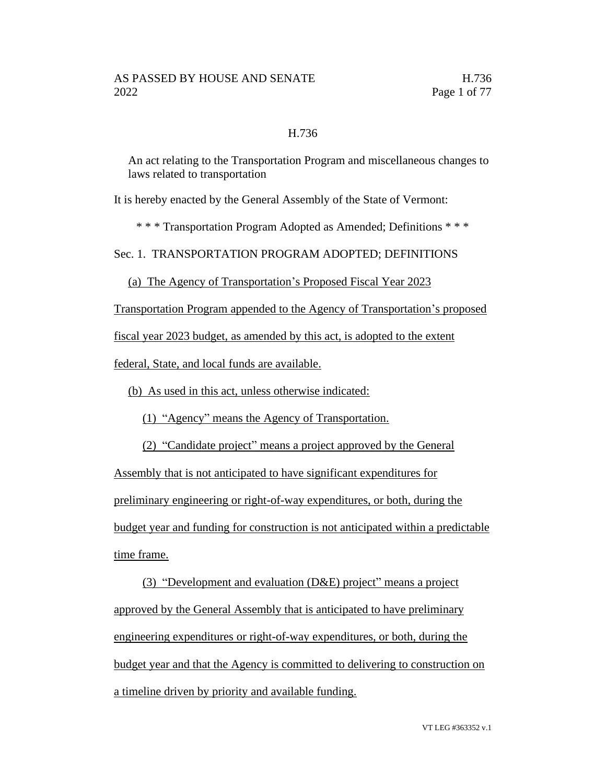### H.736

An act relating to the Transportation Program and miscellaneous changes to laws related to transportation

It is hereby enacted by the General Assembly of the State of Vermont:

\* \* \* Transportation Program Adopted as Amended; Definitions \* \* \*

Sec. 1. TRANSPORTATION PROGRAM ADOPTED; DEFINITIONS

(a) The Agency of Transportation's Proposed Fiscal Year 2023

Transportation Program appended to the Agency of Transportation's proposed

fiscal year 2023 budget, as amended by this act, is adopted to the extent

federal, State, and local funds are available.

(b) As used in this act, unless otherwise indicated:

(1) "Agency" means the Agency of Transportation.

(2) "Candidate project" means a project approved by the General

Assembly that is not anticipated to have significant expenditures for preliminary engineering or right-of-way expenditures, or both, during the budget year and funding for construction is not anticipated within a predictable time frame.

(3) "Development and evaluation (D&E) project" means a project approved by the General Assembly that is anticipated to have preliminary engineering expenditures or right-of-way expenditures, or both, during the budget year and that the Agency is committed to delivering to construction on a timeline driven by priority and available funding.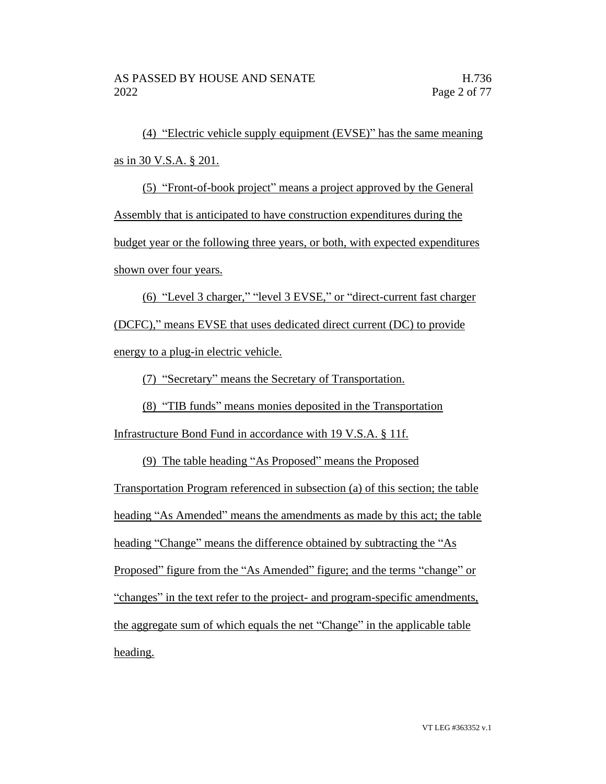(4) "Electric vehicle supply equipment (EVSE)" has the same meaning as in 30 V.S.A. § 201.

(5) "Front-of-book project" means a project approved by the General Assembly that is anticipated to have construction expenditures during the budget year or the following three years, or both, with expected expenditures shown over four years.

(6) "Level 3 charger," "level 3 EVSE," or "direct-current fast charger (DCFC)," means EVSE that uses dedicated direct current (DC) to provide energy to a plug-in electric vehicle.

(7) "Secretary" means the Secretary of Transportation.

(8) "TIB funds" means monies deposited in the Transportation

Infrastructure Bond Fund in accordance with 19 V.S.A. § 11f.

(9) The table heading "As Proposed" means the Proposed Transportation Program referenced in subsection (a) of this section; the table heading "As Amended" means the amendments as made by this act; the table heading "Change" means the difference obtained by subtracting the "As Proposed" figure from the "As Amended" figure; and the terms "change" or "changes" in the text refer to the project- and program-specific amendments, the aggregate sum of which equals the net "Change" in the applicable table heading.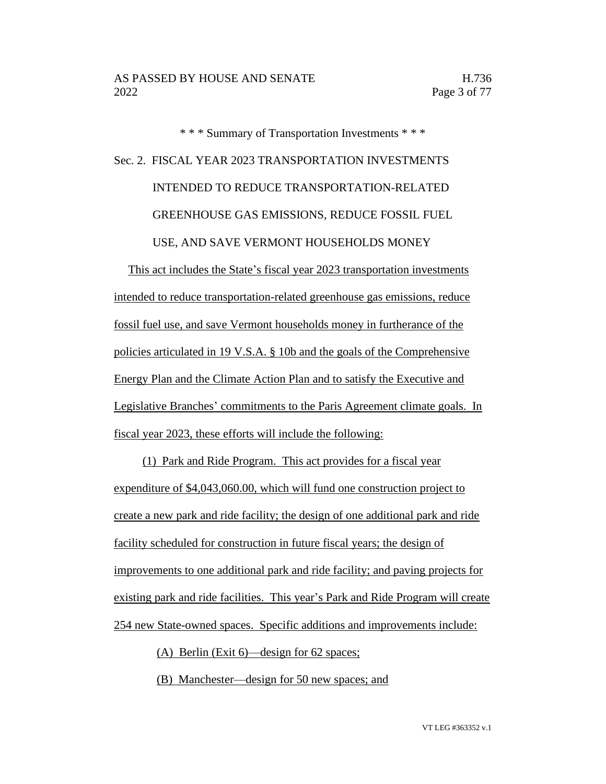\* \* \* Summary of Transportation Investments \* \* \* Sec. 2. FISCAL YEAR 2023 TRANSPORTATION INVESTMENTS INTENDED TO REDUCE TRANSPORTATION-RELATED GREENHOUSE GAS EMISSIONS, REDUCE FOSSIL FUEL USE, AND SAVE VERMONT HOUSEHOLDS MONEY

This act includes the State's fiscal year 2023 transportation investments intended to reduce transportation-related greenhouse gas emissions, reduce fossil fuel use, and save Vermont households money in furtherance of the policies articulated in 19 V.S.A. § 10b and the goals of the Comprehensive Energy Plan and the Climate Action Plan and to satisfy the Executive and Legislative Branches' commitments to the Paris Agreement climate goals. In fiscal year 2023, these efforts will include the following:

(1) Park and Ride Program. This act provides for a fiscal year expenditure of \$4,043,060.00, which will fund one construction project to create a new park and ride facility; the design of one additional park and ride facility scheduled for construction in future fiscal years; the design of improvements to one additional park and ride facility; and paving projects for existing park and ride facilities. This year's Park and Ride Program will create 254 new State-owned spaces. Specific additions and improvements include:

(A) Berlin (Exit 6)—design for 62 spaces;

(B) Manchester—design for 50 new spaces; and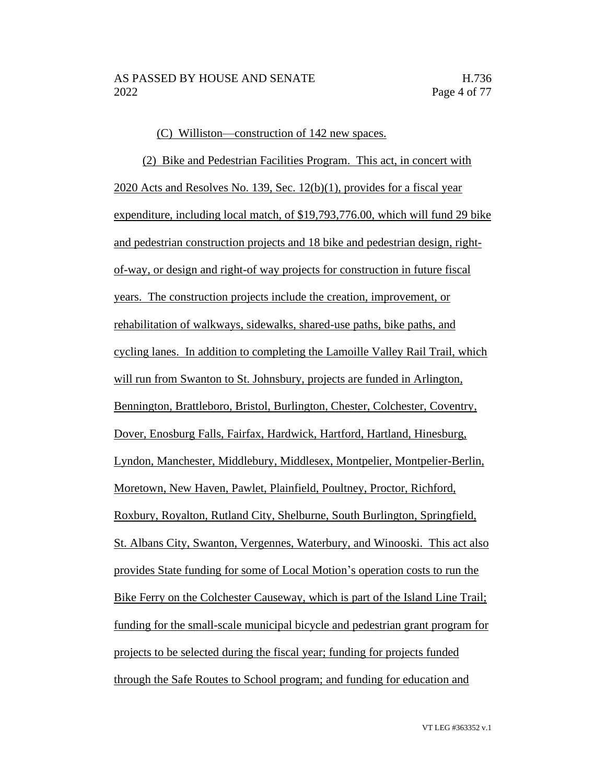#### (C) Williston—construction of 142 new spaces.

(2) Bike and Pedestrian Facilities Program. This act, in concert with 2020 Acts and Resolves No. 139, Sec. 12(b)(1), provides for a fiscal year expenditure, including local match, of \$19,793,776.00, which will fund 29 bike and pedestrian construction projects and 18 bike and pedestrian design, rightof-way, or design and right-of way projects for construction in future fiscal years. The construction projects include the creation, improvement, or rehabilitation of walkways, sidewalks, shared-use paths, bike paths, and cycling lanes. In addition to completing the Lamoille Valley Rail Trail, which will run from Swanton to St. Johnsbury, projects are funded in Arlington, Bennington, Brattleboro, Bristol, Burlington, Chester, Colchester, Coventry, Dover, Enosburg Falls, Fairfax, Hardwick, Hartford, Hartland, Hinesburg, Lyndon, Manchester, Middlebury, Middlesex, Montpelier, Montpelier-Berlin, Moretown, New Haven, Pawlet, Plainfield, Poultney, Proctor, Richford, Roxbury, Royalton, Rutland City, Shelburne, South Burlington, Springfield, St. Albans City, Swanton, Vergennes, Waterbury, and Winooski. This act also provides State funding for some of Local Motion's operation costs to run the Bike Ferry on the Colchester Causeway, which is part of the Island Line Trail; funding for the small-scale municipal bicycle and pedestrian grant program for projects to be selected during the fiscal year; funding for projects funded through the Safe Routes to School program; and funding for education and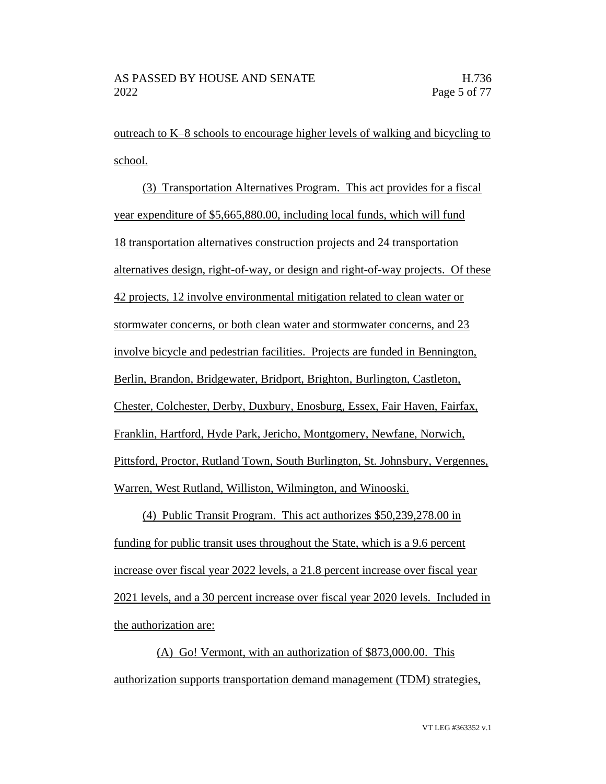outreach to K–8 schools to encourage higher levels of walking and bicycling to school.

(3) Transportation Alternatives Program. This act provides for a fiscal year expenditure of \$5,665,880.00, including local funds, which will fund 18 transportation alternatives construction projects and 24 transportation alternatives design, right-of-way, or design and right-of-way projects. Of these 42 projects, 12 involve environmental mitigation related to clean water or stormwater concerns, or both clean water and stormwater concerns, and 23 involve bicycle and pedestrian facilities. Projects are funded in Bennington, Berlin, Brandon, Bridgewater, Bridport, Brighton, Burlington, Castleton, Chester, Colchester, Derby, Duxbury, Enosburg, Essex, Fair Haven, Fairfax, Franklin, Hartford, Hyde Park, Jericho, Montgomery, Newfane, Norwich, Pittsford, Proctor, Rutland Town, South Burlington, St. Johnsbury, Vergennes, Warren, West Rutland, Williston, Wilmington, and Winooski.

(4) Public Transit Program. This act authorizes \$50,239,278.00 in funding for public transit uses throughout the State, which is a 9.6 percent increase over fiscal year 2022 levels, a 21.8 percent increase over fiscal year 2021 levels, and a 30 percent increase over fiscal year 2020 levels. Included in the authorization are:

(A) Go! Vermont, with an authorization of \$873,000.00. This authorization supports transportation demand management (TDM) strategies,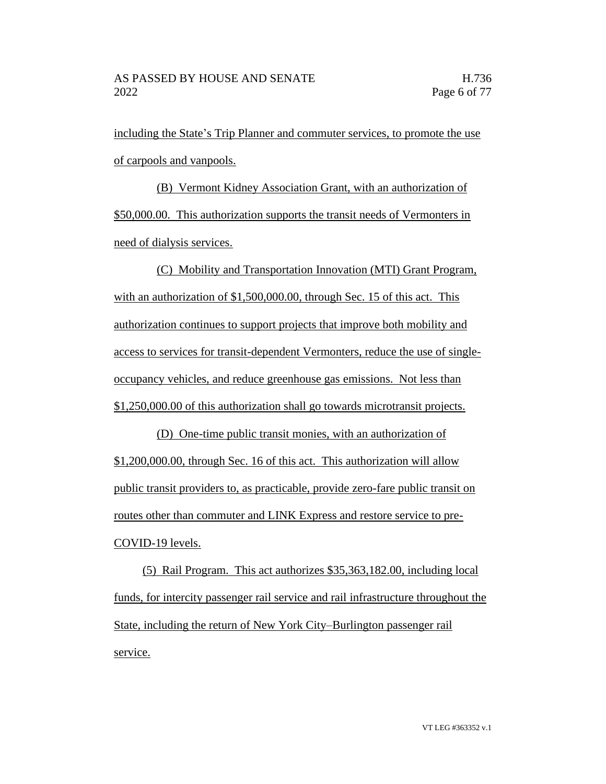including the State's Trip Planner and commuter services, to promote the use of carpools and vanpools.

(B) Vermont Kidney Association Grant, with an authorization of \$50,000.00. This authorization supports the transit needs of Vermonters in need of dialysis services.

(C) Mobility and Transportation Innovation (MTI) Grant Program, with an authorization of \$1,500,000.00, through Sec. 15 of this act. This authorization continues to support projects that improve both mobility and access to services for transit-dependent Vermonters, reduce the use of singleoccupancy vehicles, and reduce greenhouse gas emissions. Not less than \$1,250,000.00 of this authorization shall go towards microtransit projects.

(D) One-time public transit monies, with an authorization of \$1,200,000.00, through Sec. 16 of this act. This authorization will allow public transit providers to, as practicable, provide zero-fare public transit on routes other than commuter and LINK Express and restore service to pre-COVID-19 levels.

(5) Rail Program. This act authorizes \$35,363,182.00, including local funds, for intercity passenger rail service and rail infrastructure throughout the State, including the return of New York City–Burlington passenger rail service.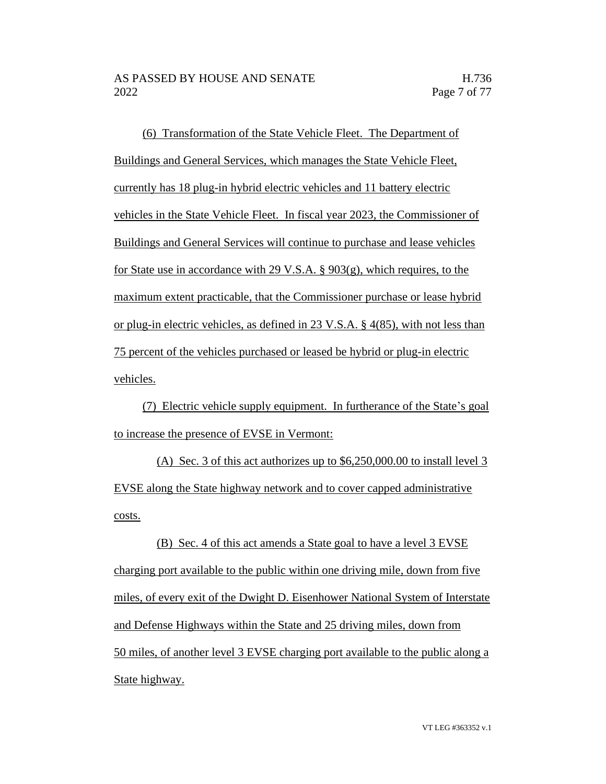(6) Transformation of the State Vehicle Fleet. The Department of Buildings and General Services, which manages the State Vehicle Fleet, currently has 18 plug-in hybrid electric vehicles and 11 battery electric vehicles in the State Vehicle Fleet. In fiscal year 2023, the Commissioner of Buildings and General Services will continue to purchase and lease vehicles for State use in accordance with 29 V.S.A. § 903(g), which requires, to the maximum extent practicable, that the Commissioner purchase or lease hybrid or plug-in electric vehicles, as defined in 23 V.S.A. § 4(85), with not less than 75 percent of the vehicles purchased or leased be hybrid or plug-in electric vehicles.

(7) Electric vehicle supply equipment. In furtherance of the State's goal to increase the presence of EVSE in Vermont:

(A) Sec. 3 of this act authorizes up to \$6,250,000.00 to install level 3 EVSE along the State highway network and to cover capped administrative costs.

(B) Sec. 4 of this act amends a State goal to have a level 3 EVSE charging port available to the public within one driving mile, down from five miles, of every exit of the Dwight D. Eisenhower National System of Interstate and Defense Highways within the State and 25 driving miles, down from 50 miles, of another level 3 EVSE charging port available to the public along a State highway.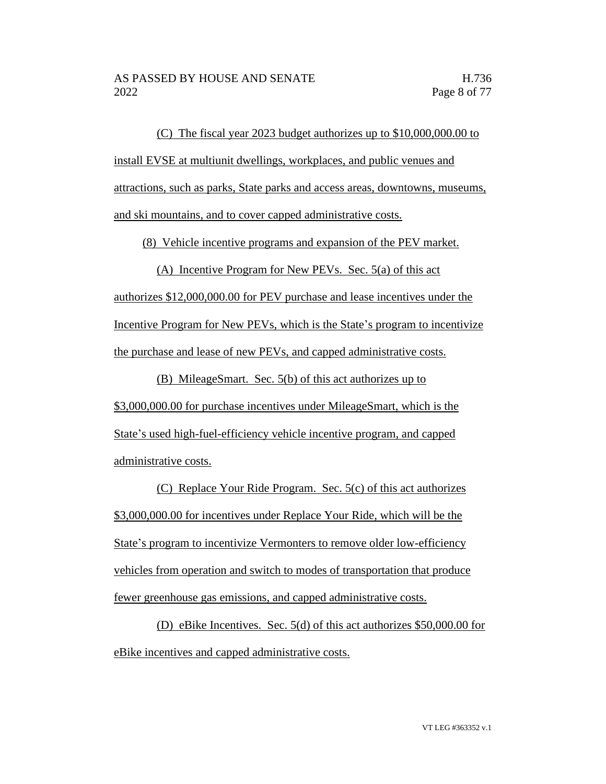(C) The fiscal year 2023 budget authorizes up to \$10,000,000.00 to install EVSE at multiunit dwellings, workplaces, and public venues and attractions, such as parks, State parks and access areas, downtowns, museums, and ski mountains, and to cover capped administrative costs.

(8) Vehicle incentive programs and expansion of the PEV market.

(A) Incentive Program for New PEVs. Sec. 5(a) of this act authorizes \$12,000,000.00 for PEV purchase and lease incentives under the Incentive Program for New PEVs, which is the State's program to incentivize the purchase and lease of new PEVs, and capped administrative costs.

(B) MileageSmart. Sec. 5(b) of this act authorizes up to \$3,000,000.00 for purchase incentives under MileageSmart, which is the State's used high-fuel-efficiency vehicle incentive program, and capped administrative costs.

(C) Replace Your Ride Program. Sec. 5(c) of this act authorizes \$3,000,000.00 for incentives under Replace Your Ride, which will be the State's program to incentivize Vermonters to remove older low-efficiency vehicles from operation and switch to modes of transportation that produce fewer greenhouse gas emissions, and capped administrative costs.

(D) eBike Incentives. Sec. 5(d) of this act authorizes \$50,000.00 for eBike incentives and capped administrative costs.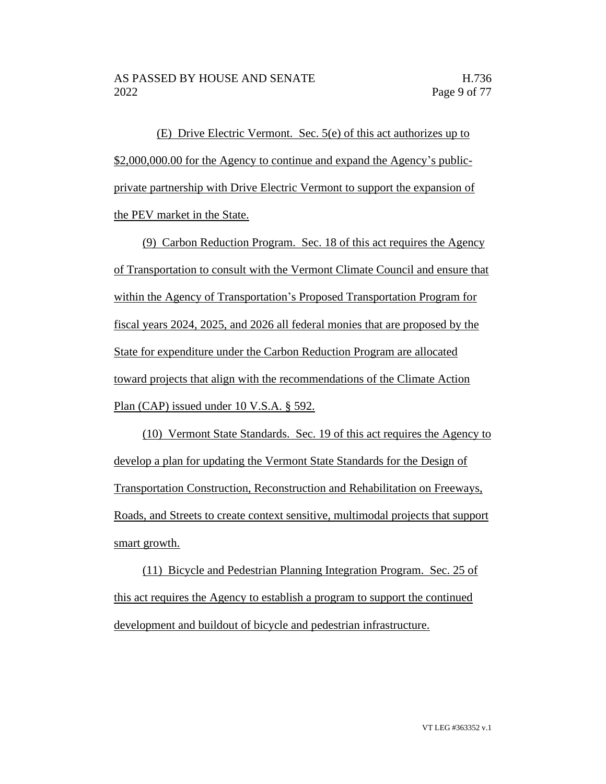(E) Drive Electric Vermont. Sec. 5(e) of this act authorizes up to \$2,000,000.00 for the Agency to continue and expand the Agency's publicprivate partnership with Drive Electric Vermont to support the expansion of the PEV market in the State.

(9) Carbon Reduction Program. Sec. 18 of this act requires the Agency of Transportation to consult with the Vermont Climate Council and ensure that within the Agency of Transportation's Proposed Transportation Program for fiscal years 2024, 2025, and 2026 all federal monies that are proposed by the State for expenditure under the Carbon Reduction Program are allocated toward projects that align with the recommendations of the Climate Action Plan (CAP) issued under 10 V.S.A. § 592.

(10) Vermont State Standards. Sec. 19 of this act requires the Agency to develop a plan for updating the Vermont State Standards for the Design of Transportation Construction, Reconstruction and Rehabilitation on Freeways, Roads, and Streets to create context sensitive, multimodal projects that support smart growth.

(11) Bicycle and Pedestrian Planning Integration Program. Sec. 25 of this act requires the Agency to establish a program to support the continued development and buildout of bicycle and pedestrian infrastructure.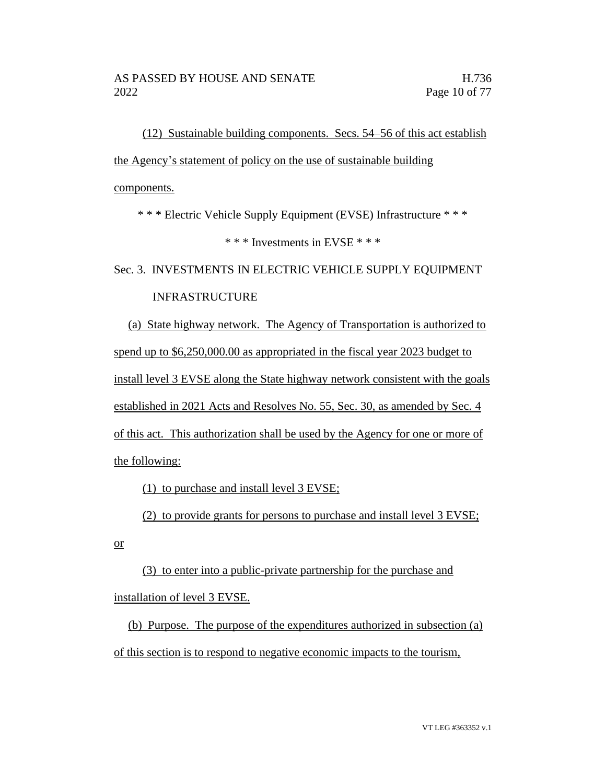(12) Sustainable building components. Secs. 54–56 of this act establish the Agency's statement of policy on the use of sustainable building components.

\* \* \* Electric Vehicle Supply Equipment (EVSE) Infrastructure \* \* \*

\* \* \* Investments in EVSE \* \* \*

Sec. 3. INVESTMENTS IN ELECTRIC VEHICLE SUPPLY EQUIPMENT

## INFRASTRUCTURE

(a) State highway network. The Agency of Transportation is authorized to spend up to \$6,250,000.00 as appropriated in the fiscal year 2023 budget to install level 3 EVSE along the State highway network consistent with the goals established in 2021 Acts and Resolves No. 55, Sec. 30, as amended by Sec. 4 of this act. This authorization shall be used by the Agency for one or more of the following:

(1) to purchase and install level 3 EVSE;

(2) to provide grants for persons to purchase and install level 3 EVSE;

or

(3) to enter into a public-private partnership for the purchase and installation of level 3 EVSE.

(b) Purpose. The purpose of the expenditures authorized in subsection (a) of this section is to respond to negative economic impacts to the tourism,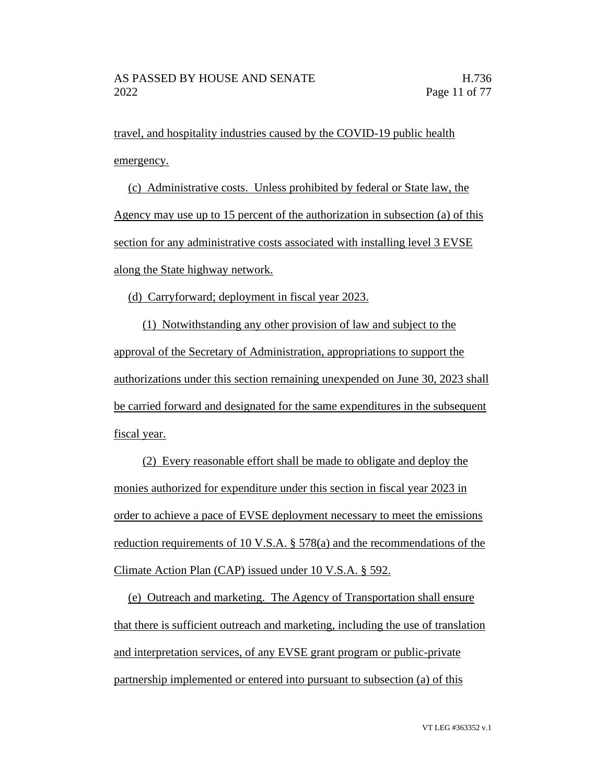travel, and hospitality industries caused by the COVID-19 public health emergency.

(c) Administrative costs. Unless prohibited by federal or State law, the Agency may use up to 15 percent of the authorization in subsection (a) of this section for any administrative costs associated with installing level 3 EVSE along the State highway network.

(d) Carryforward; deployment in fiscal year 2023.

(1) Notwithstanding any other provision of law and subject to the approval of the Secretary of Administration, appropriations to support the authorizations under this section remaining unexpended on June 30, 2023 shall be carried forward and designated for the same expenditures in the subsequent fiscal year.

(2) Every reasonable effort shall be made to obligate and deploy the monies authorized for expenditure under this section in fiscal year 2023 in order to achieve a pace of EVSE deployment necessary to meet the emissions reduction requirements of 10 V.S.A. § 578(a) and the recommendations of the Climate Action Plan (CAP) issued under 10 V.S.A. § 592.

(e) Outreach and marketing. The Agency of Transportation shall ensure that there is sufficient outreach and marketing, including the use of translation and interpretation services, of any EVSE grant program or public-private partnership implemented or entered into pursuant to subsection (a) of this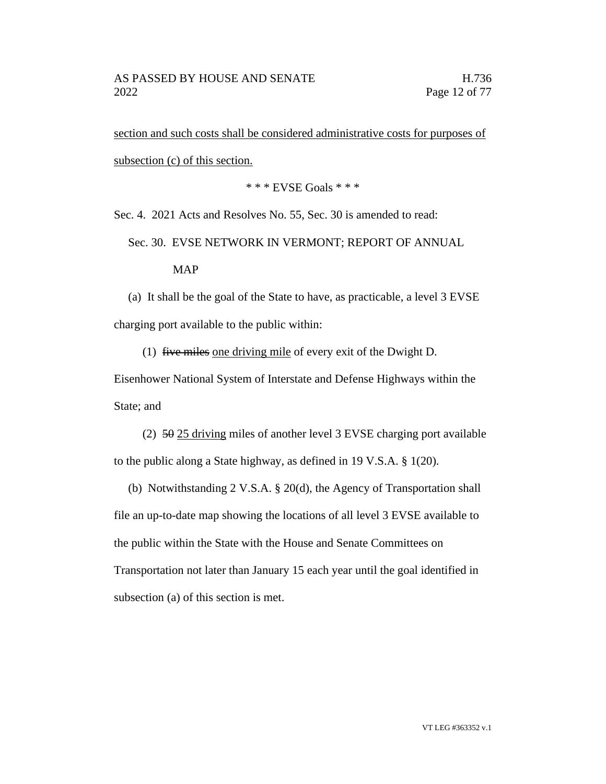section and such costs shall be considered administrative costs for purposes of subsection (c) of this section.

\* \* \* EVSE Goals \* \* \*

Sec. 4. 2021 Acts and Resolves No. 55, Sec. 30 is amended to read:

Sec. 30. EVSE NETWORK IN VERMONT; REPORT OF ANNUAL

#### MAP

(a) It shall be the goal of the State to have, as practicable, a level 3 EVSE charging port available to the public within:

(1) five miles one driving mile of every exit of the Dwight D.

Eisenhower National System of Interstate and Defense Highways within the State; and

(2) 50 25 driving miles of another level 3 EVSE charging port available to the public along a State highway, as defined in 19 V.S.A. § 1(20).

(b) Notwithstanding 2 V.S.A. § 20(d), the Agency of Transportation shall file an up-to-date map showing the locations of all level 3 EVSE available to the public within the State with the House and Senate Committees on Transportation not later than January 15 each year until the goal identified in subsection (a) of this section is met.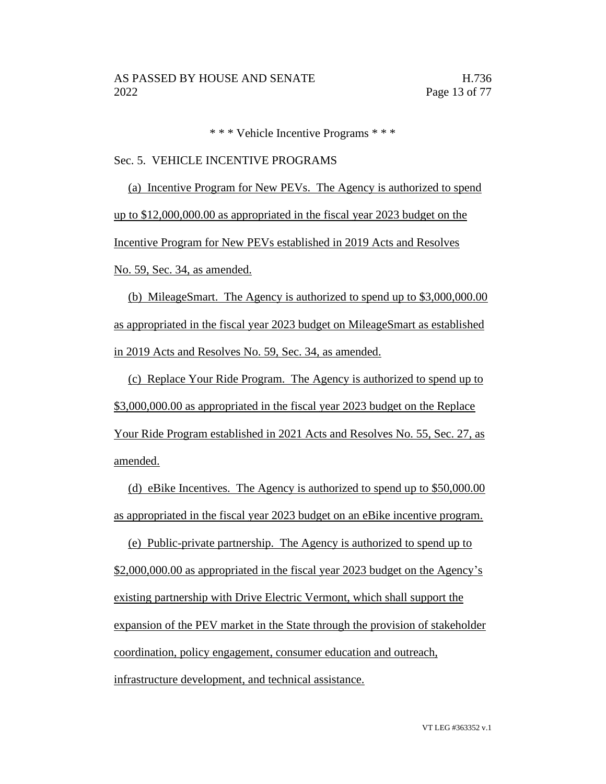\* \* \* Vehicle Incentive Programs \* \* \*

#### Sec. 5. VEHICLE INCENTIVE PROGRAMS

(a) Incentive Program for New PEVs. The Agency is authorized to spend up to \$12,000,000.00 as appropriated in the fiscal year 2023 budget on the Incentive Program for New PEVs established in 2019 Acts and Resolves No. 59, Sec. 34, as amended.

(b) MileageSmart. The Agency is authorized to spend up to \$3,000,000.00 as appropriated in the fiscal year 2023 budget on MileageSmart as established in 2019 Acts and Resolves No. 59, Sec. 34, as amended.

(c) Replace Your Ride Program. The Agency is authorized to spend up to \$3,000,000.00 as appropriated in the fiscal year 2023 budget on the Replace Your Ride Program established in 2021 Acts and Resolves No. 55, Sec. 27, as amended.

(d) eBike Incentives. The Agency is authorized to spend up to \$50,000.00 as appropriated in the fiscal year 2023 budget on an eBike incentive program.

(e) Public-private partnership. The Agency is authorized to spend up to \$2,000,000.00 as appropriated in the fiscal year 2023 budget on the Agency's existing partnership with Drive Electric Vermont, which shall support the expansion of the PEV market in the State through the provision of stakeholder coordination, policy engagement, consumer education and outreach, infrastructure development, and technical assistance.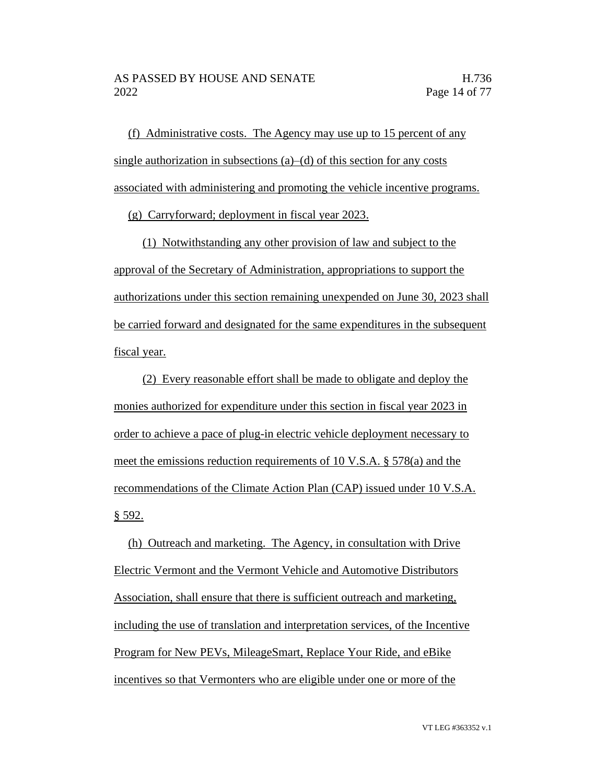(f) Administrative costs. The Agency may use up to 15 percent of any single authorization in subsections (a)–(d) of this section for any costs associated with administering and promoting the vehicle incentive programs.

(g) Carryforward; deployment in fiscal year 2023.

(1) Notwithstanding any other provision of law and subject to the approval of the Secretary of Administration, appropriations to support the authorizations under this section remaining unexpended on June 30, 2023 shall be carried forward and designated for the same expenditures in the subsequent fiscal year.

(2) Every reasonable effort shall be made to obligate and deploy the monies authorized for expenditure under this section in fiscal year 2023 in order to achieve a pace of plug-in electric vehicle deployment necessary to meet the emissions reduction requirements of 10 V.S.A. § 578(a) and the recommendations of the Climate Action Plan (CAP) issued under 10 V.S.A. § 592.

(h) Outreach and marketing. The Agency, in consultation with Drive Electric Vermont and the Vermont Vehicle and Automotive Distributors Association, shall ensure that there is sufficient outreach and marketing, including the use of translation and interpretation services, of the Incentive Program for New PEVs, MileageSmart, Replace Your Ride, and eBike incentives so that Vermonters who are eligible under one or more of the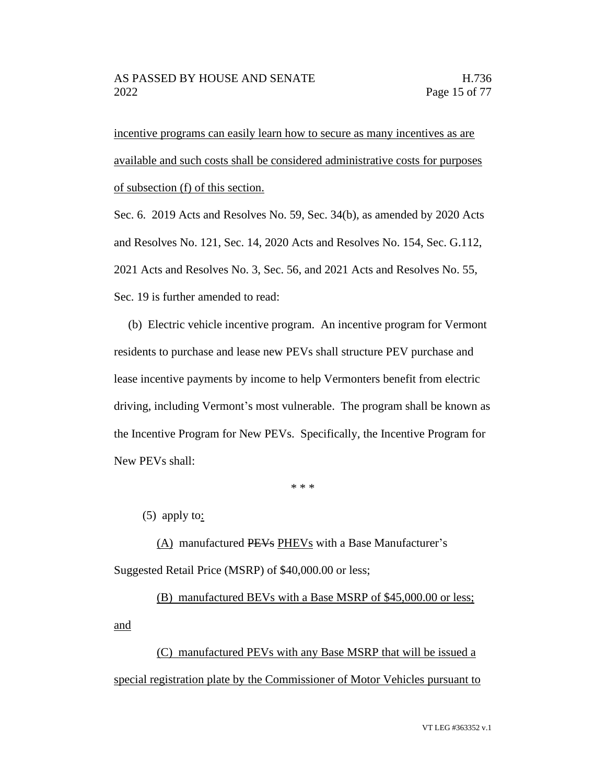incentive programs can easily learn how to secure as many incentives as are available and such costs shall be considered administrative costs for purposes of subsection (f) of this section.

Sec. 6. 2019 Acts and Resolves No. 59, Sec. 34(b), as amended by 2020 Acts and Resolves No. 121, Sec. 14, 2020 Acts and Resolves No. 154, Sec. G.112, 2021 Acts and Resolves No. 3, Sec. 56, and 2021 Acts and Resolves No. 55, Sec. 19 is further amended to read:

(b) Electric vehicle incentive program. An incentive program for Vermont residents to purchase and lease new PEVs shall structure PEV purchase and lease incentive payments by income to help Vermonters benefit from electric driving, including Vermont's most vulnerable. The program shall be known as the Incentive Program for New PEVs. Specifically, the Incentive Program for New PEVs shall:

\* \* \*

(5) apply to:

(A) manufactured PEVs PHEVs with a Base Manufacturer's Suggested Retail Price (MSRP) of \$40,000.00 or less;

(B) manufactured BEVs with a Base MSRP of \$45,000.00 or less; and

(C) manufactured PEVs with any Base MSRP that will be issued a special registration plate by the Commissioner of Motor Vehicles pursuant to

VT LEG #363352 v.1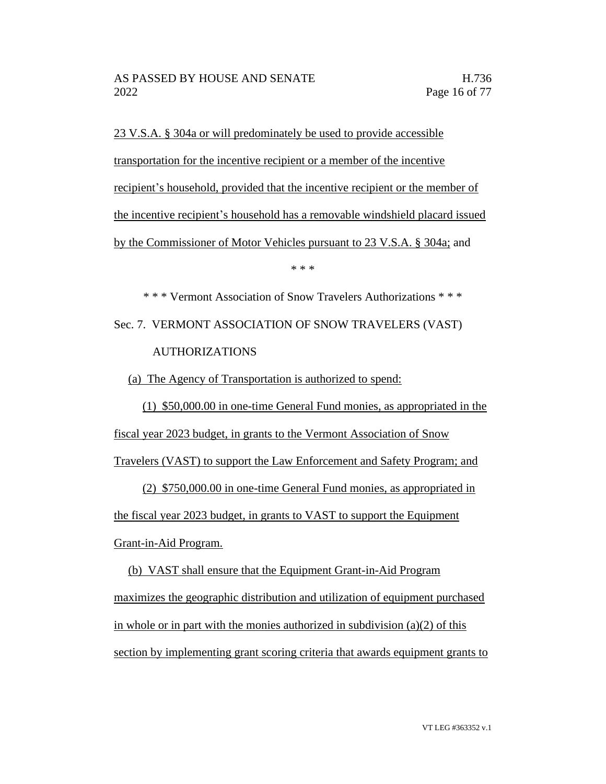23 V.S.A. § 304a or will predominately be used to provide accessible transportation for the incentive recipient or a member of the incentive recipient's household, provided that the incentive recipient or the member of the incentive recipient's household has a removable windshield placard issued by the Commissioner of Motor Vehicles pursuant to 23 V.S.A. § 304a; and

\* \* \*

\* \* \* Vermont Association of Snow Travelers Authorizations \* \* \* Sec. 7. VERMONT ASSOCIATION OF SNOW TRAVELERS (VAST) AUTHORIZATIONS

(a) The Agency of Transportation is authorized to spend:

(1) \$50,000.00 in one-time General Fund monies, as appropriated in the fiscal year 2023 budget, in grants to the Vermont Association of Snow

Travelers (VAST) to support the Law Enforcement and Safety Program; and

(2) \$750,000.00 in one-time General Fund monies, as appropriated in the fiscal year 2023 budget, in grants to VAST to support the Equipment Grant-in-Aid Program.

(b) VAST shall ensure that the Equipment Grant-in-Aid Program maximizes the geographic distribution and utilization of equipment purchased in whole or in part with the monies authorized in subdivision (a)(2) of this section by implementing grant scoring criteria that awards equipment grants to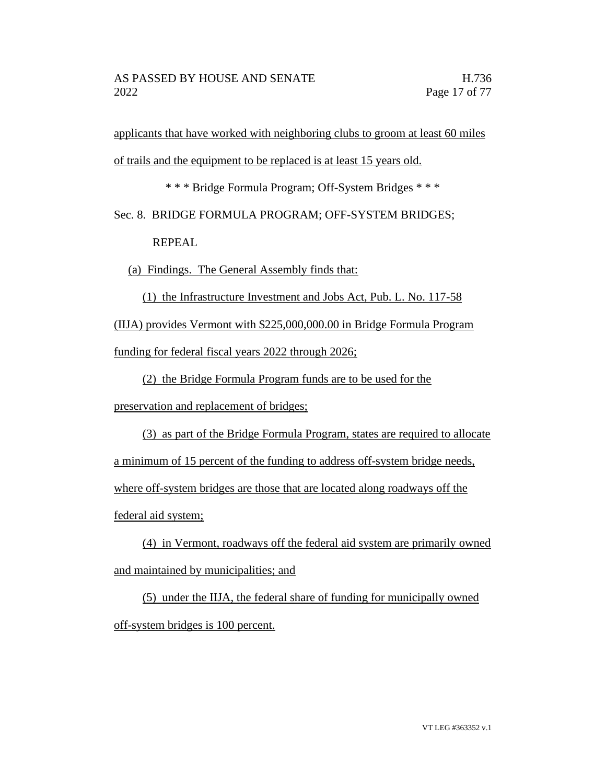applicants that have worked with neighboring clubs to groom at least 60 miles of trails and the equipment to be replaced is at least 15 years old.

\* \* \* Bridge Formula Program; Off-System Bridges \* \* \*

Sec. 8. BRIDGE FORMULA PROGRAM; OFF-SYSTEM BRIDGES;

REPEAL

(a) Findings. The General Assembly finds that:

(1) the Infrastructure Investment and Jobs Act, Pub. L. No. 117-58 (IIJA) provides Vermont with \$225,000,000.00 in Bridge Formula Program funding for federal fiscal years 2022 through 2026;

(2) the Bridge Formula Program funds are to be used for the

preservation and replacement of bridges;

(3) as part of the Bridge Formula Program, states are required to allocate a minimum of 15 percent of the funding to address off-system bridge needs, where off-system bridges are those that are located along roadways off the federal aid system;

(4) in Vermont, roadways off the federal aid system are primarily owned and maintained by municipalities; and

(5) under the IIJA, the federal share of funding for municipally owned off-system bridges is 100 percent.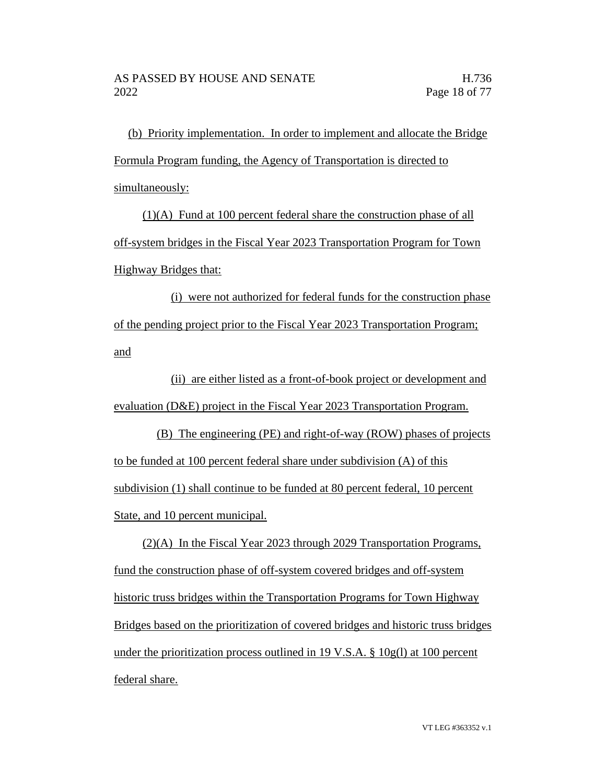(b) Priority implementation. In order to implement and allocate the Bridge Formula Program funding, the Agency of Transportation is directed to simultaneously:

(1)(A) Fund at 100 percent federal share the construction phase of all off-system bridges in the Fiscal Year 2023 Transportation Program for Town Highway Bridges that:

(i) were not authorized for federal funds for the construction phase of the pending project prior to the Fiscal Year 2023 Transportation Program; and

(ii) are either listed as a front-of-book project or development and evaluation (D&E) project in the Fiscal Year 2023 Transportation Program.

(B) The engineering (PE) and right-of-way (ROW) phases of projects to be funded at 100 percent federal share under subdivision (A) of this subdivision (1) shall continue to be funded at 80 percent federal, 10 percent State, and 10 percent municipal.

(2)(A) In the Fiscal Year 2023 through 2029 Transportation Programs, fund the construction phase of off-system covered bridges and off-system historic truss bridges within the Transportation Programs for Town Highway Bridges based on the prioritization of covered bridges and historic truss bridges under the prioritization process outlined in 19 V.S.A.  $\S$  10g(l) at 100 percent federal share.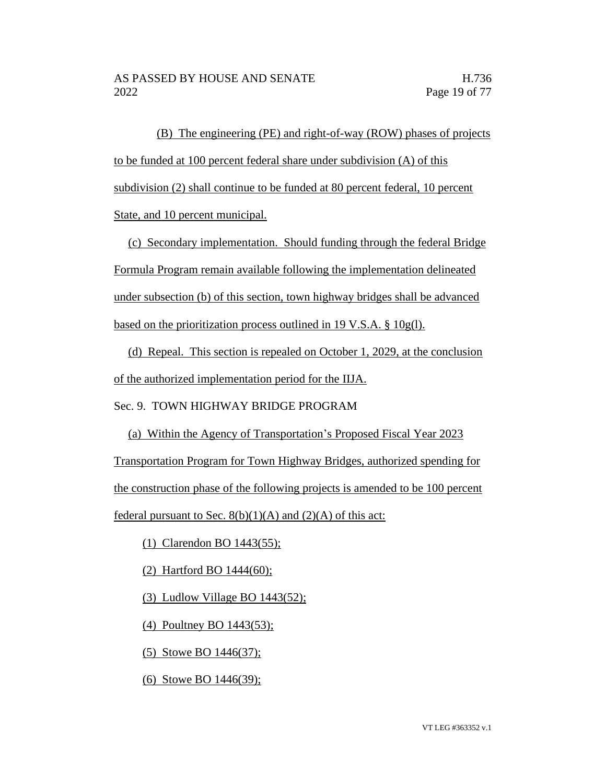(B) The engineering (PE) and right-of-way (ROW) phases of projects to be funded at 100 percent federal share under subdivision (A) of this subdivision (2) shall continue to be funded at 80 percent federal, 10 percent State, and 10 percent municipal.

(c) Secondary implementation. Should funding through the federal Bridge Formula Program remain available following the implementation delineated under subsection (b) of this section, town highway bridges shall be advanced based on the prioritization process outlined in 19 V.S.A. § 10g(l).

(d) Repeal. This section is repealed on October 1, 2029, at the conclusion of the authorized implementation period for the IIJA.

Sec. 9. TOWN HIGHWAY BRIDGE PROGRAM

(a) Within the Agency of Transportation's Proposed Fiscal Year 2023 Transportation Program for Town Highway Bridges, authorized spending for the construction phase of the following projects is amended to be 100 percent federal pursuant to Sec.  $8(b)(1)(A)$  and  $(2)(A)$  of this act:

(1) Clarendon BO 1443(55);

(2) Hartford BO 1444(60);

(3) Ludlow Village BO 1443(52);

(4) Poultney BO 1443(53);

(5) Stowe BO 1446(37);

(6) Stowe BO 1446(39);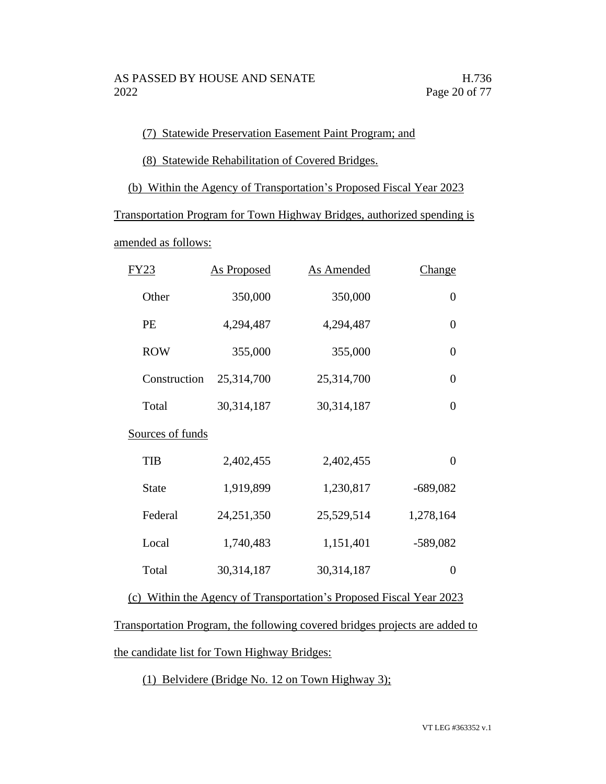### (7) Statewide Preservation Easement Paint Program; and

(8) Statewide Rehabilitation of Covered Bridges.

(b) Within the Agency of Transportation's Proposed Fiscal Year 2023

Transportation Program for Town Highway Bridges, authorized spending is

amended as follows:

| FY 23            | <b>As Proposed</b> | <b>As Amended</b> | <u>Change</u>    |
|------------------|--------------------|-------------------|------------------|
| Other            | 350,000            | 350,000           | $\boldsymbol{0}$ |
| PE               | 4,294,487          | 4,294,487         | $\overline{0}$   |
| <b>ROW</b>       | 355,000            | 355,000           | $\overline{0}$   |
| Construction     | 25,314,700         | 25,314,700        | $\overline{0}$   |
| Total            | 30,314,187         | 30,314,187        | 0                |
| Sources of funds |                    |                   |                  |
| <b>TIB</b>       | 2,402,455          | 2,402,455         | $\overline{0}$   |
| <b>State</b>     | 1,919,899          | 1,230,817         | $-689,082$       |
| Federal          | 24,251,350         | 25,529,514        | 1,278,164        |
| Local            | 1,740,483          | 1,151,401         | $-589,082$       |
| Total            | 30,314,187         | 30,314,187        | $\overline{0}$   |
|                  |                    |                   |                  |

(c) Within the Agency of Transportation's Proposed Fiscal Year 2023

Transportation Program, the following covered bridges projects are added to the candidate list for Town Highway Bridges:

(1) Belvidere (Bridge No. 12 on Town Highway 3);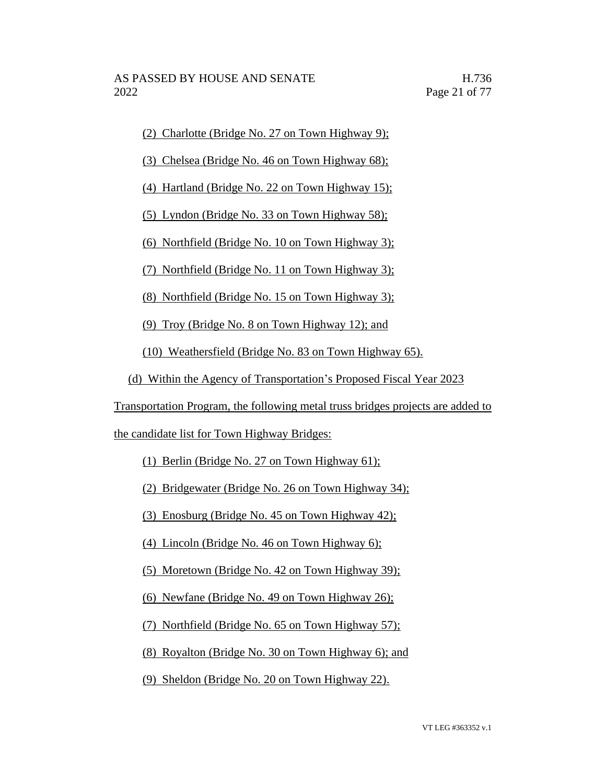(2) Charlotte (Bridge No. 27 on Town Highway 9);

(3) Chelsea (Bridge No. 46 on Town Highway 68);

(4) Hartland (Bridge No. 22 on Town Highway 15);

(5) Lyndon (Bridge No. 33 on Town Highway 58);

(6) Northfield (Bridge No. 10 on Town Highway 3);

(7) Northfield (Bridge No. 11 on Town Highway 3);

(8) Northfield (Bridge No. 15 on Town Highway 3);

(9) Troy (Bridge No. 8 on Town Highway 12); and

(10) Weathersfield (Bridge No. 83 on Town Highway 65).

(d) Within the Agency of Transportation's Proposed Fiscal Year 2023

Transportation Program, the following metal truss bridges projects are added to

the candidate list for Town Highway Bridges:

(1) Berlin (Bridge No. 27 on Town Highway 61);

(2) Bridgewater (Bridge No. 26 on Town Highway 34);

(3) Enosburg (Bridge No. 45 on Town Highway 42);

(4) Lincoln (Bridge No. 46 on Town Highway 6);

(5) Moretown (Bridge No. 42 on Town Highway 39);

(6) Newfane (Bridge No. 49 on Town Highway 26);

(7) Northfield (Bridge No. 65 on Town Highway 57);

(8) Royalton (Bridge No. 30 on Town Highway 6); and

(9) Sheldon (Bridge No. 20 on Town Highway 22).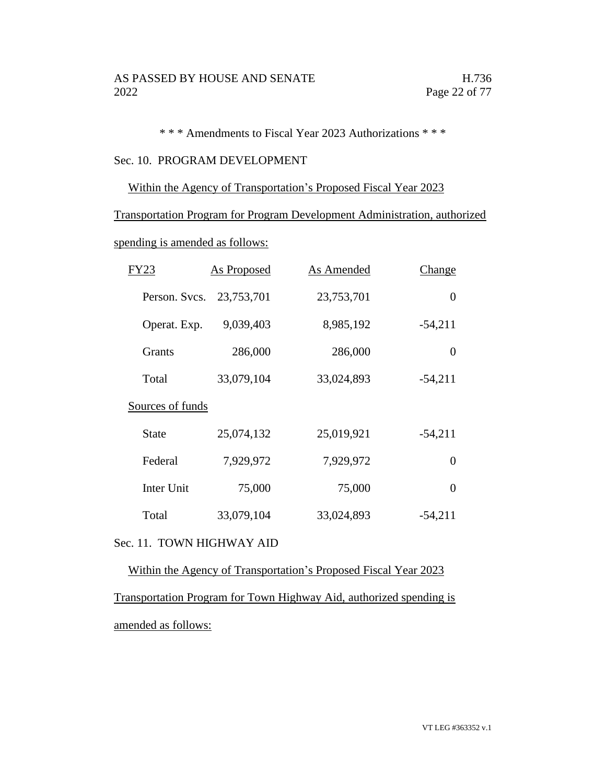\* \* \* Amendments to Fiscal Year 2023 Authorizations \* \* \*

### Sec. 10. PROGRAM DEVELOPMENT

### Within the Agency of Transportation's Proposed Fiscal Year 2023

Transportation Program for Program Development Administration, authorized

spending is amended as follows:

| FY23              | <b>As Proposed</b> | As Amended | <b>Change</b> |
|-------------------|--------------------|------------|---------------|
| Person. Svcs.     | 23,753,701         | 23,753,701 | 0             |
| Operat. Exp.      | 9,039,403          | 8,985,192  | $-54,211$     |
| <b>Grants</b>     | 286,000            | 286,000    | 0             |
| Total             | 33,079,104         | 33,024,893 | $-54,211$     |
| Sources of funds  |                    |            |               |
| State             | 25,074,132         | 25,019,921 | $-54,211$     |
| Federal           | 7,929,972          | 7,929,972  | 0             |
| <b>Inter Unit</b> | 75,000             | 75,000     | $\theta$      |
| Total             | 33,079,104         | 33,024,893 | $-54,211$     |

## Sec. 11. TOWN HIGHWAY AID

Within the Agency of Transportation's Proposed Fiscal Year 2023 Transportation Program for Town Highway Aid, authorized spending is amended as follows: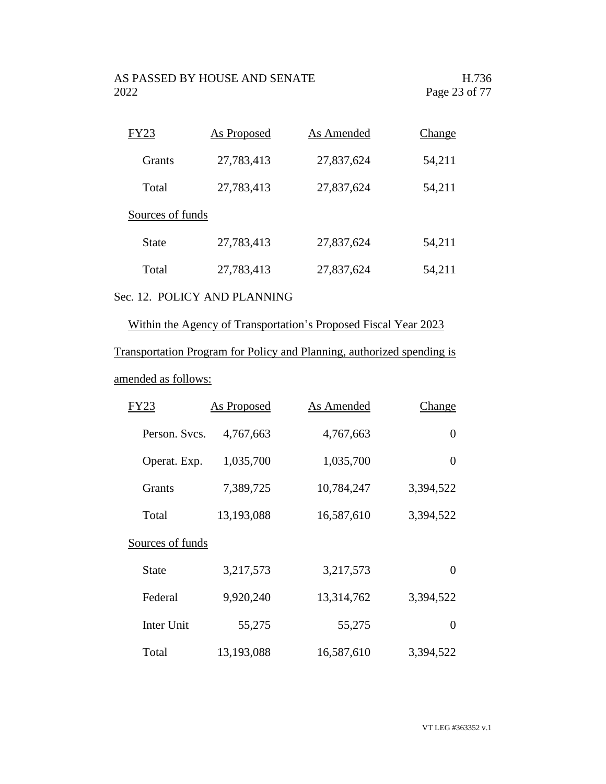| FY23             | As Proposed | As Amended | Change |
|------------------|-------------|------------|--------|
| <b>Grants</b>    | 27,783,413  | 27,837,624 | 54,211 |
| Total            | 27,783,413  | 27,837,624 | 54,211 |
| Sources of funds |             |            |        |
| State            | 27,783,413  | 27,837,624 | 54,211 |
| Total            | 27,783,413  | 27,837,624 | 54,211 |
|                  |             |            |        |

# Sec. 12. POLICY AND PLANNING

# Within the Agency of Transportation's Proposed Fiscal Year 2023

# Transportation Program for Policy and Planning, authorized spending is

## amended as follows:

| FY23             | <b>As Proposed</b> | <b>As Amended</b> | Change    |
|------------------|--------------------|-------------------|-----------|
| Person. Svcs.    | 4,767,663          | 4,767,663         | 0         |
| Operat. Exp.     | 1,035,700          | 1,035,700         | $\theta$  |
| <b>Grants</b>    | 7,389,725          | 10,784,247        | 3,394,522 |
| Total            | 13,193,088         | 16,587,610        | 3,394,522 |
| Sources of funds |                    |                   |           |
| State            | 3,217,573          | 3,217,573         | 0         |
| Federal          | 9,920,240          | 13,314,762        | 3,394,522 |
| Inter Unit       | 55,275             | 55,275            | 0         |
| Total            | 13,193,088         | 16,587,610        | 3,394,522 |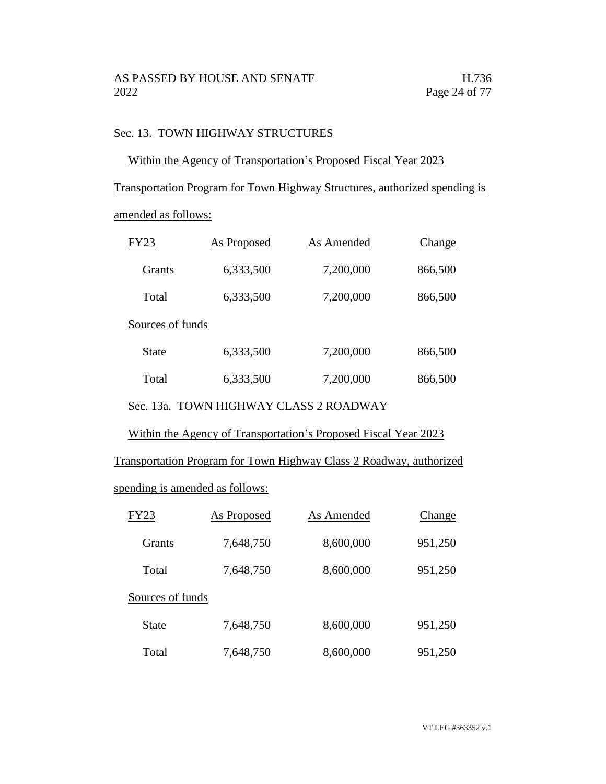## Sec. 13. TOWN HIGHWAY STRUCTURES

## Within the Agency of Transportation's Proposed Fiscal Year 2023

Transportation Program for Town Highway Structures, authorized spending is

amended as follows:

| FY23             | As Proposed | As Amended | Change  |
|------------------|-------------|------------|---------|
| Grants           | 6,333,500   | 7,200,000  | 866,500 |
| Total            | 6,333,500   | 7,200,000  | 866,500 |
| Sources of funds |             |            |         |
| State            | 6,333,500   | 7,200,000  | 866,500 |
| Total            | 6,333,500   | 7,200,000  | 866,500 |

Sec. 13a. TOWN HIGHWAY CLASS 2 ROADWAY

Within the Agency of Transportation's Proposed Fiscal Year 2023

Transportation Program for Town Highway Class 2 Roadway, authorized

spending is amended as follows:

| FY23             | <b>As Proposed</b> | As Amended | Change  |
|------------------|--------------------|------------|---------|
| <b>Grants</b>    | 7,648,750          | 8,600,000  | 951,250 |
| Total            | 7,648,750          | 8,600,000  | 951,250 |
| Sources of funds |                    |            |         |
| <b>State</b>     | 7,648,750          | 8,600,000  | 951,250 |
| Total            | 7,648,750          | 8,600,000  | 951,250 |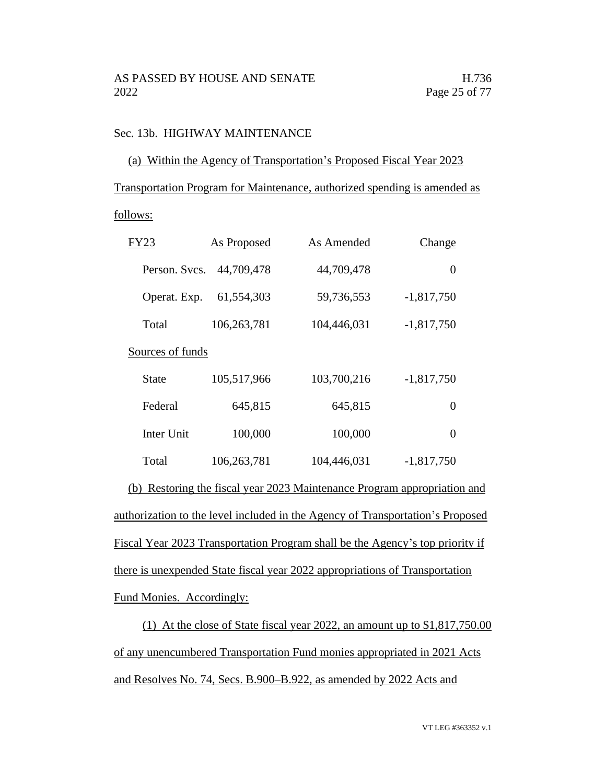## Sec. 13b. HIGHWAY MAINTENANCE

### (a) Within the Agency of Transportation's Proposed Fiscal Year 2023

Transportation Program for Maintenance, authorized spending is amended as

### follows:

| FY23             | As Proposed | As Amended  | Change       |
|------------------|-------------|-------------|--------------|
| Person. Svcs.    | 44,709,478  | 44,709,478  | 0            |
| Operat. Exp.     | 61,554,303  | 59,736,553  | $-1,817,750$ |
| Total            | 106,263,781 | 104,446,031 | $-1,817,750$ |
| Sources of funds |             |             |              |
| State            | 105,517,966 | 103,700,216 | $-1,817,750$ |
| Federal          | 645,815     | 645,815     | 0            |
| Inter Unit       | 100,000     | 100,000     | 0            |
| Total            | 106,263,781 | 104,446,031 | $-1,817,750$ |

(b) Restoring the fiscal year 2023 Maintenance Program appropriation and authorization to the level included in the Agency of Transportation's Proposed Fiscal Year 2023 Transportation Program shall be the Agency's top priority if there is unexpended State fiscal year 2022 appropriations of Transportation Fund Monies. Accordingly:

(1) At the close of State fiscal year 2022, an amount up to \$1,817,750.00 of any unencumbered Transportation Fund monies appropriated in 2021 Acts and Resolves No. 74, Secs. B.900–B.922, as amended by 2022 Acts and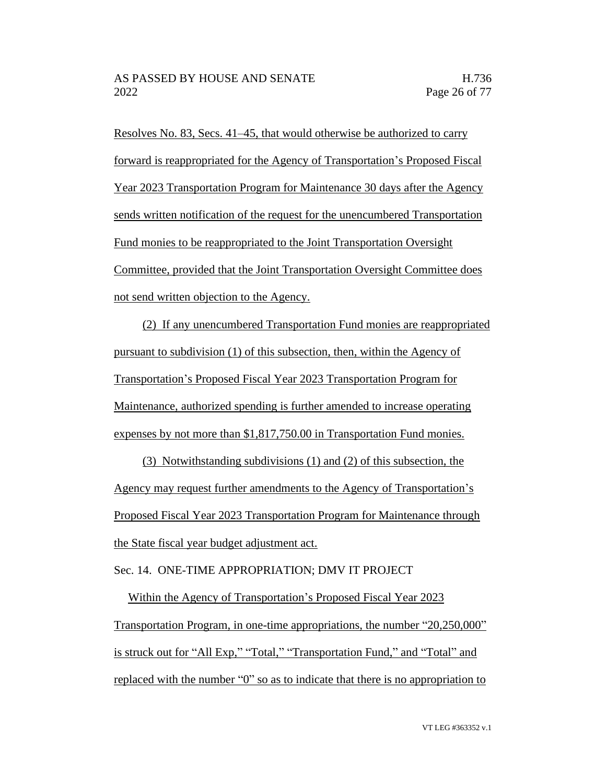Resolves No. 83, Secs. 41–45, that would otherwise be authorized to carry forward is reappropriated for the Agency of Transportation's Proposed Fiscal Year 2023 Transportation Program for Maintenance 30 days after the Agency sends written notification of the request for the unencumbered Transportation Fund monies to be reappropriated to the Joint Transportation Oversight Committee, provided that the Joint Transportation Oversight Committee does not send written objection to the Agency.

(2) If any unencumbered Transportation Fund monies are reappropriated pursuant to subdivision (1) of this subsection, then, within the Agency of Transportation's Proposed Fiscal Year 2023 Transportation Program for Maintenance, authorized spending is further amended to increase operating expenses by not more than \$1,817,750.00 in Transportation Fund monies.

(3) Notwithstanding subdivisions (1) and (2) of this subsection, the Agency may request further amendments to the Agency of Transportation's Proposed Fiscal Year 2023 Transportation Program for Maintenance through the State fiscal year budget adjustment act.

Sec. 14. ONE-TIME APPROPRIATION; DMV IT PROJECT

Within the Agency of Transportation's Proposed Fiscal Year 2023 Transportation Program, in one-time appropriations, the number "20,250,000" is struck out for "All Exp," "Total," "Transportation Fund," and "Total" and replaced with the number "0" so as to indicate that there is no appropriation to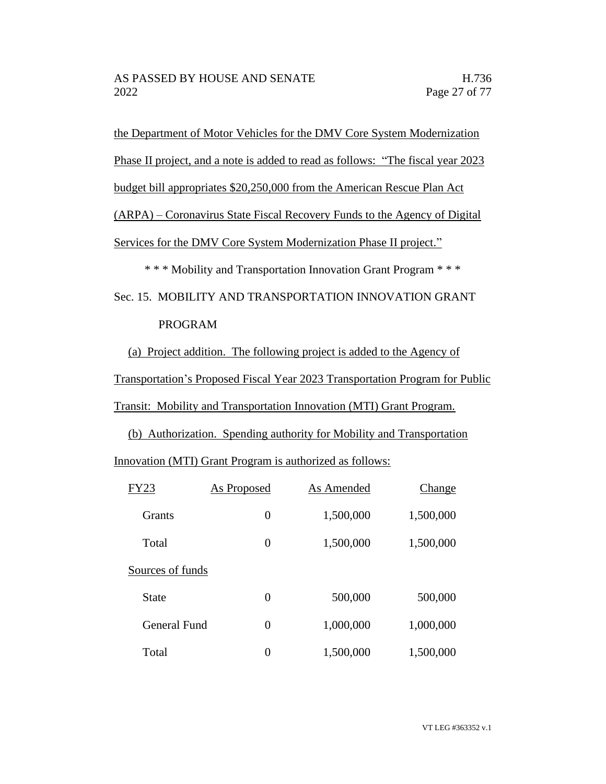the Department of Motor Vehicles for the DMV Core System Modernization

Phase II project, and a note is added to read as follows: "The fiscal year 2023

budget bill appropriates \$20,250,000 from the American Rescue Plan Act

(ARPA) – Coronavirus State Fiscal Recovery Funds to the Agency of Digital

Services for the DMV Core System Modernization Phase II project."

\* \* \* Mobility and Transportation Innovation Grant Program \* \* \*

Sec. 15. MOBILITY AND TRANSPORTATION INNOVATION GRANT PROGRAM

(a) Project addition. The following project is added to the Agency of

Transportation's Proposed Fiscal Year 2023 Transportation Program for Public

Transit: Mobility and Transportation Innovation (MTI) Grant Program.

(b) Authorization. Spending authority for Mobility and Transportation

Innovation (MTI) Grant Program is authorized as follows:

| <b>FY23</b>      | <b>As Proposed</b> | As Amended | Change    |
|------------------|--------------------|------------|-----------|
| <b>Grants</b>    | $\overline{0}$     | 1,500,000  | 1,500,000 |
| Total            | $\overline{0}$     | 1,500,000  | 1,500,000 |
| Sources of funds |                    |            |           |
| State            | $\overline{0}$     | 500,000    | 500,000   |
| General Fund     | $\theta$           | 1,000,000  | 1,000,000 |
| Total            | 0                  | 1,500,000  | 1,500,000 |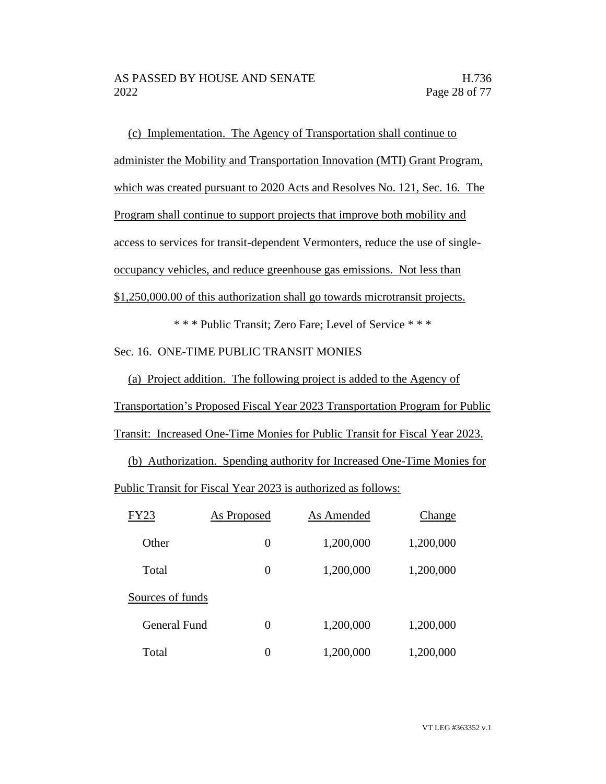(c) Implementation. The Agency of Transportation shall continue to administer the Mobility and Transportation Innovation (MTI) Grant Program, which was created pursuant to 2020 Acts and Resolves No. 121, Sec. 16. The Program shall continue to support projects that improve both mobility and access to services for transit-dependent Vermonters, reduce the use of singleoccupancy vehicles, and reduce greenhouse gas emissions. Not less than \$1,250,000.00 of this authorization shall go towards microtransit projects.

\* \* \* Public Transit; Zero Fare; Level of Service \* \* \* Sec. 16. ONE-TIME PUBLIC TRANSIT MONIES

(a) Project addition. The following project is added to the Agency of Transportation's Proposed Fiscal Year 2023 Transportation Program for Public Transit: Increased One-Time Monies for Public Transit for Fiscal Year 2023.

(b) Authorization. Spending authority for Increased One-Time Monies for

Public Transit for Fiscal Year 2023 is authorized as follows:

| <b>FY23</b>      | As Proposed | As Amended | Change    |
|------------------|-------------|------------|-----------|
| Other            | 0           | 1,200,000  | 1,200,000 |
| Total            | 0           | 1,200,000  | 1,200,000 |
| Sources of funds |             |            |           |
| General Fund     | 0           | 1,200,000  | 1,200,000 |
| Total            | 0           | 1,200,000  | 1,200,000 |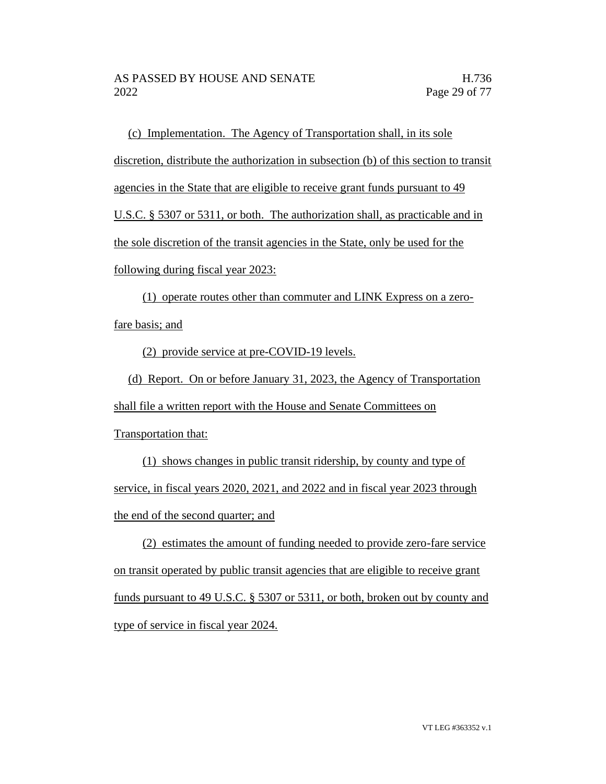(c) Implementation. The Agency of Transportation shall, in its sole discretion, distribute the authorization in subsection (b) of this section to transit agencies in the State that are eligible to receive grant funds pursuant to 49 U.S.C. § 5307 or 5311, or both. The authorization shall, as practicable and in the sole discretion of the transit agencies in the State, only be used for the following during fiscal year 2023:

(1) operate routes other than commuter and LINK Express on a zerofare basis; and

(2) provide service at pre-COVID-19 levels.

(d) Report. On or before January 31, 2023, the Agency of Transportation shall file a written report with the House and Senate Committees on Transportation that:

(1) shows changes in public transit ridership, by county and type of service, in fiscal years 2020, 2021, and 2022 and in fiscal year 2023 through the end of the second quarter; and

(2) estimates the amount of funding needed to provide zero-fare service on transit operated by public transit agencies that are eligible to receive grant funds pursuant to 49 U.S.C. § 5307 or 5311, or both, broken out by county and type of service in fiscal year 2024.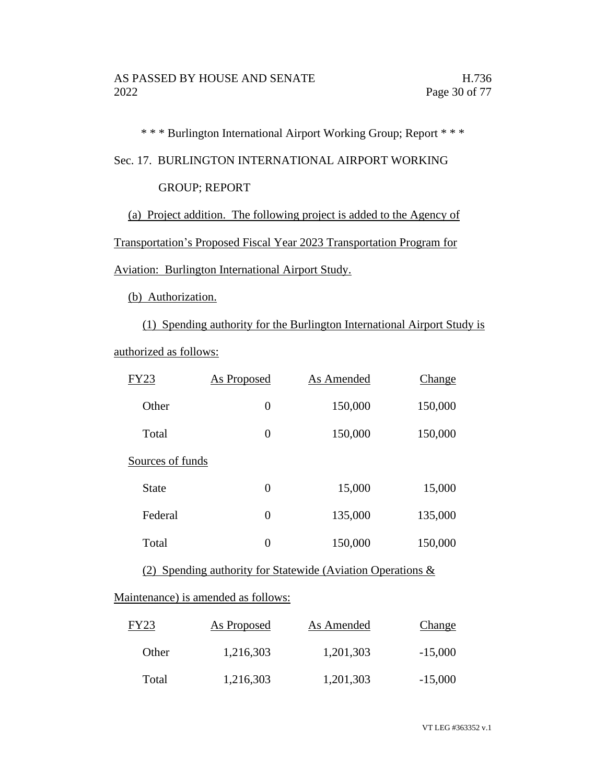\* \* \* Burlington International Airport Working Group; Report \* \* \*

Sec. 17. BURLINGTON INTERNATIONAL AIRPORT WORKING

## GROUP; REPORT

(a) Project addition. The following project is added to the Agency of

Transportation's Proposed Fiscal Year 2023 Transportation Program for

Aviation: Burlington International Airport Study.

(b) Authorization.

(1) Spending authority for the Burlington International Airport Study is authorized as follows:

| FY23             | As Proposed    | As Amended | Change  |
|------------------|----------------|------------|---------|
| Other            | $\overline{0}$ | 150,000    | 150,000 |
| Total            | 0              | 150,000    | 150,000 |
| Sources of funds |                |            |         |
| State            | 0              | 15,000     | 15,000  |
| Federal          | $\overline{0}$ | 135,000    | 135,000 |
| Total            | 0              | 150,000    | 150,000 |
|                  |                |            |         |

(2) Spending authority for Statewide (Aviation Operations &

## Maintenance) is amended as follows:

| <b>FY23</b> | <b>As Proposed</b> | As Amended | Change    |
|-------------|--------------------|------------|-----------|
| Other       | 1,216,303          | 1,201,303  | $-15,000$ |
| Total       | 1,216,303          | 1,201,303  | $-15,000$ |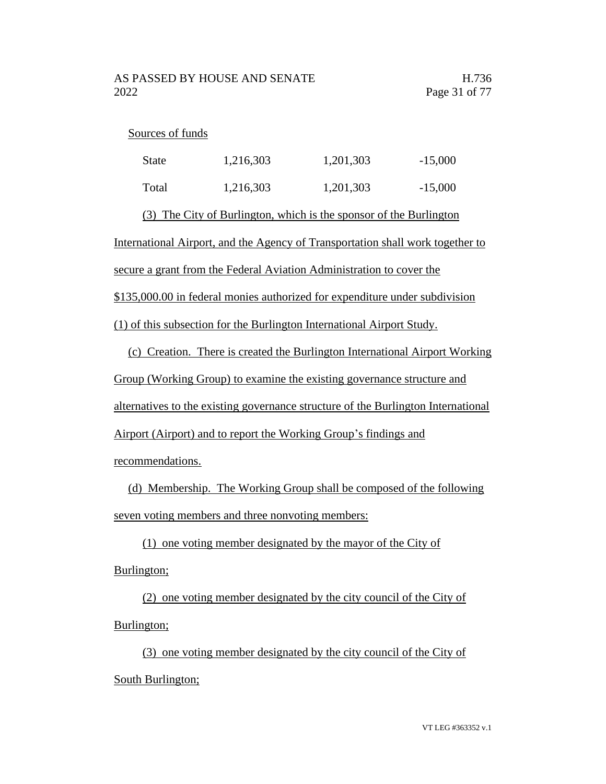### Sources of funds

| <b>State</b> | 1,216,303 | 1,201,303 | $-15,000$ |
|--------------|-----------|-----------|-----------|
| Total        | 1,216,303 | 1,201,303 | $-15,000$ |

(3) The City of Burlington, which is the sponsor of the Burlington

International Airport, and the Agency of Transportation shall work together to

secure a grant from the Federal Aviation Administration to cover the

\$135,000.00 in federal monies authorized for expenditure under subdivision

(1) of this subsection for the Burlington International Airport Study.

(c) Creation. There is created the Burlington International Airport Working Group (Working Group) to examine the existing governance structure and alternatives to the existing governance structure of the Burlington International Airport (Airport) and to report the Working Group's findings and recommendations.

(d) Membership. The Working Group shall be composed of the following seven voting members and three nonvoting members:

(1) one voting member designated by the mayor of the City of Burlington;

(2) one voting member designated by the city council of the City of Burlington;

(3) one voting member designated by the city council of the City of South Burlington;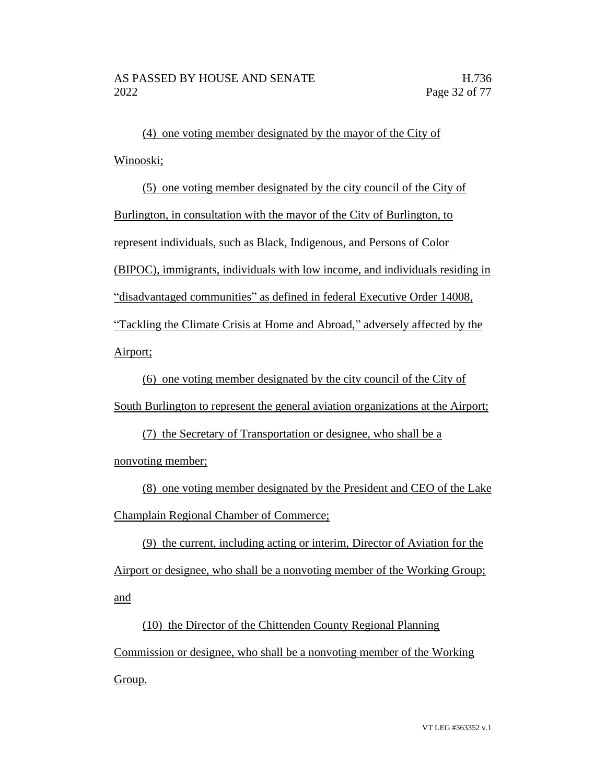(4) one voting member designated by the mayor of the City of Winooski;

(5) one voting member designated by the city council of the City of Burlington, in consultation with the mayor of the City of Burlington, to represent individuals, such as Black, Indigenous, and Persons of Color (BIPOC), immigrants, individuals with low income, and individuals residing in "disadvantaged communities" as defined in federal Executive Order 14008, "Tackling the Climate Crisis at Home and Abroad," adversely affected by the Airport;

(6) one voting member designated by the city council of the City of South Burlington to represent the general aviation organizations at the Airport;

(7) the Secretary of Transportation or designee, who shall be a nonvoting member;

(8) one voting member designated by the President and CEO of the Lake Champlain Regional Chamber of Commerce;

(9) the current, including acting or interim, Director of Aviation for the Airport or designee, who shall be a nonvoting member of the Working Group; and

(10) the Director of the Chittenden County Regional Planning Commission or designee, who shall be a nonvoting member of the Working Group.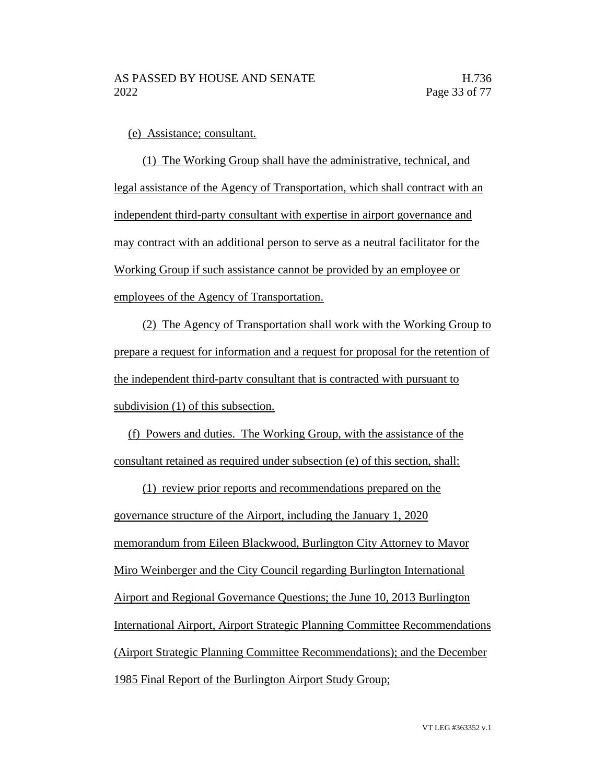(e) Assistance; consultant.

(1) The Working Group shall have the administrative, technical, and legal assistance of the Agency of Transportation, which shall contract with an independent third-party consultant with expertise in airport governance and may contract with an additional person to serve as a neutral facilitator for the Working Group if such assistance cannot be provided by an employee or employees of the Agency of Transportation.

(2) The Agency of Transportation shall work with the Working Group to prepare a request for information and a request for proposal for the retention of the independent third-party consultant that is contracted with pursuant to subdivision (1) of this subsection.

(f) Powers and duties. The Working Group, with the assistance of the consultant retained as required under subsection (e) of this section, shall:

(1) review prior reports and recommendations prepared on the governance structure of the Airport, including the January 1, 2020 memorandum from Eileen Blackwood, Burlington City Attorney to Mayor Miro Weinberger and the City Council regarding Burlington International Airport and Regional Governance Questions; the June 10, 2013 Burlington International Airport, Airport Strategic Planning Committee Recommendations (Airport Strategic Planning Committee Recommendations); and the December 1985 Final Report of the Burlington Airport Study Group;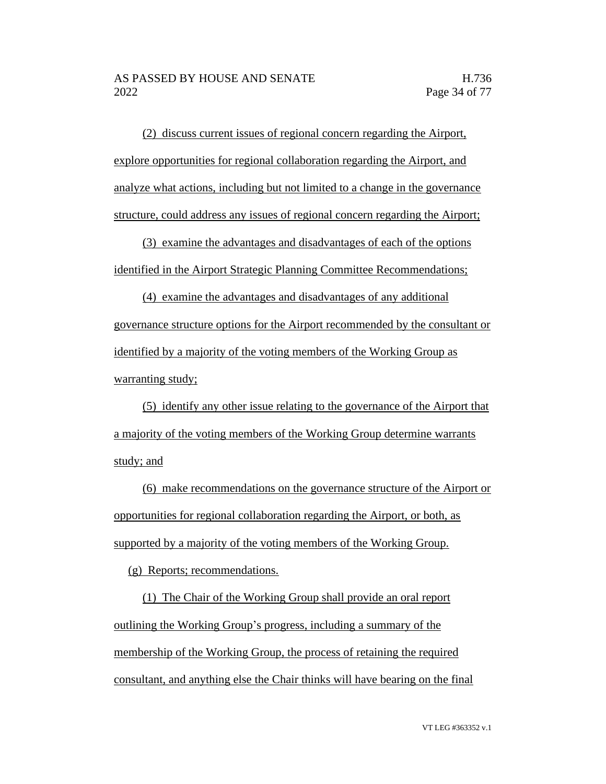(2) discuss current issues of regional concern regarding the Airport, explore opportunities for regional collaboration regarding the Airport, and analyze what actions, including but not limited to a change in the governance structure, could address any issues of regional concern regarding the Airport;

(3) examine the advantages and disadvantages of each of the options identified in the Airport Strategic Planning Committee Recommendations;

(4) examine the advantages and disadvantages of any additional governance structure options for the Airport recommended by the consultant or identified by a majority of the voting members of the Working Group as warranting study;

(5) identify any other issue relating to the governance of the Airport that a majority of the voting members of the Working Group determine warrants study; and

(6) make recommendations on the governance structure of the Airport or opportunities for regional collaboration regarding the Airport, or both, as supported by a majority of the voting members of the Working Group.

(g) Reports; recommendations.

(1) The Chair of the Working Group shall provide an oral report outlining the Working Group's progress, including a summary of the membership of the Working Group, the process of retaining the required consultant, and anything else the Chair thinks will have bearing on the final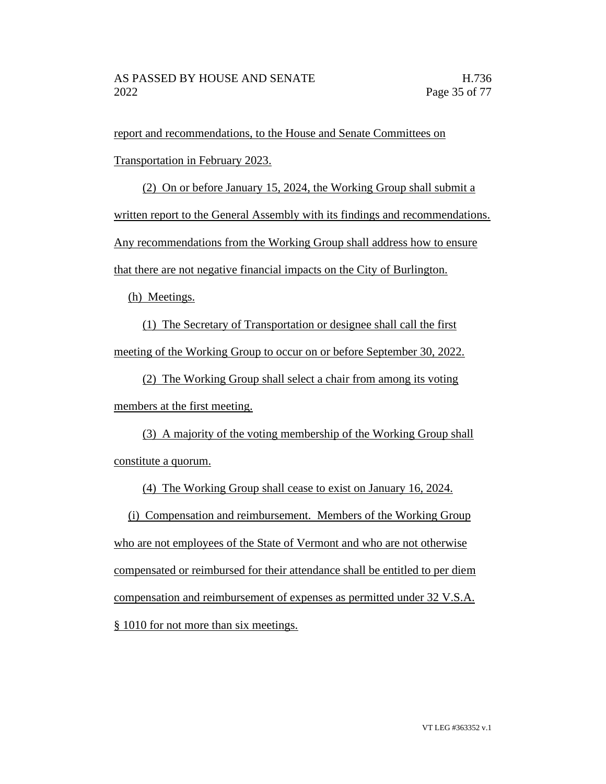report and recommendations, to the House and Senate Committees on Transportation in February 2023.

(2) On or before January 15, 2024, the Working Group shall submit a written report to the General Assembly with its findings and recommendations. Any recommendations from the Working Group shall address how to ensure that there are not negative financial impacts on the City of Burlington.

(h) Meetings.

(1) The Secretary of Transportation or designee shall call the first meeting of the Working Group to occur on or before September 30, 2022.

(2) The Working Group shall select a chair from among its voting members at the first meeting.

(3) A majority of the voting membership of the Working Group shall constitute a quorum.

(4) The Working Group shall cease to exist on January 16, 2024.

(i) Compensation and reimbursement. Members of the Working Group who are not employees of the State of Vermont and who are not otherwise compensated or reimbursed for their attendance shall be entitled to per diem compensation and reimbursement of expenses as permitted under 32 V.S.A. § 1010 for not more than six meetings.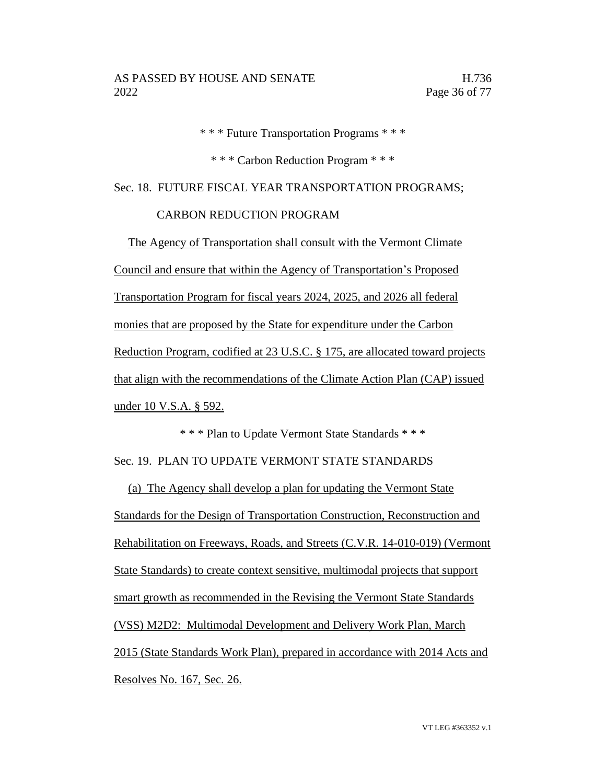\* \* \* Future Transportation Programs \* \* \*

\* \* \* Carbon Reduction Program \* \* \*

Sec. 18. FUTURE FISCAL YEAR TRANSPORTATION PROGRAMS;

### CARBON REDUCTION PROGRAM

The Agency of Transportation shall consult with the Vermont Climate Council and ensure that within the Agency of Transportation's Proposed Transportation Program for fiscal years 2024, 2025, and 2026 all federal monies that are proposed by the State for expenditure under the Carbon Reduction Program, codified at 23 U.S.C. § 175, are allocated toward projects that align with the recommendations of the Climate Action Plan (CAP) issued under 10 V.S.A. § 592.

\* \* \* Plan to Update Vermont State Standards \* \* \* Sec. 19. PLAN TO UPDATE VERMONT STATE STANDARDS

(a) The Agency shall develop a plan for updating the Vermont State Standards for the Design of Transportation Construction, Reconstruction and Rehabilitation on Freeways, Roads, and Streets (C.V.R. 14-010-019) (Vermont State Standards) to create context sensitive, multimodal projects that support smart growth as recommended in the Revising the Vermont State Standards (VSS) M2D2: Multimodal Development and Delivery Work Plan, March 2015 (State Standards Work Plan), prepared in accordance with 2014 Acts and Resolves No. 167, Sec. 26.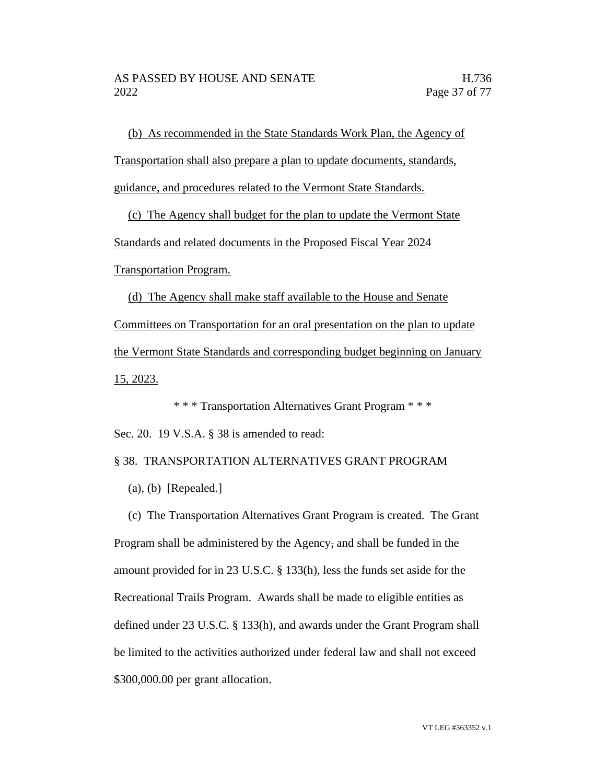(b) As recommended in the State Standards Work Plan, the Agency of Transportation shall also prepare a plan to update documents, standards, guidance, and procedures related to the Vermont State Standards.

(c) The Agency shall budget for the plan to update the Vermont State Standards and related documents in the Proposed Fiscal Year 2024 Transportation Program.

(d) The Agency shall make staff available to the House and Senate Committees on Transportation for an oral presentation on the plan to update the Vermont State Standards and corresponding budget beginning on January 15, 2023.

\* \* \* Transportation Alternatives Grant Program \* \* \* Sec. 20. 19 V.S.A. § 38 is amended to read:

§ 38. TRANSPORTATION ALTERNATIVES GRANT PROGRAM

(a), (b) [Repealed.]

(c) The Transportation Alternatives Grant Program is created. The Grant Program shall be administered by the Agency, and shall be funded in the amount provided for in 23 U.S.C. § 133(h), less the funds set aside for the Recreational Trails Program. Awards shall be made to eligible entities as defined under 23 U.S.C. § 133(h), and awards under the Grant Program shall be limited to the activities authorized under federal law and shall not exceed \$300,000.00 per grant allocation.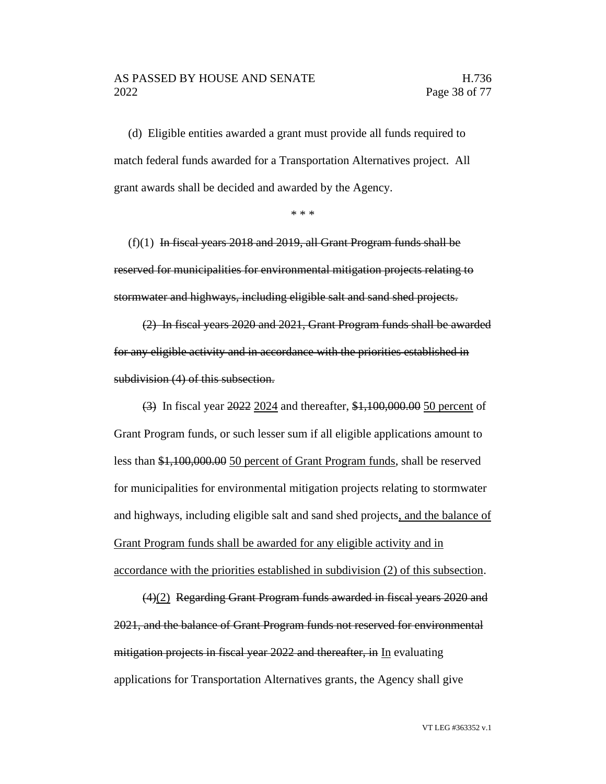#### AS PASSED BY HOUSE AND SENATE H.736 2022 Page 38 of 77

(d) Eligible entities awarded a grant must provide all funds required to match federal funds awarded for a Transportation Alternatives project. All grant awards shall be decided and awarded by the Agency.

\* \* \*

 $(f)(1)$  In fiscal years 2018 and 2019, all Grant Program funds shall be reserved for municipalities for environmental mitigation projects relating to stormwater and highways, including eligible salt and sand shed projects.

(2) In fiscal years 2020 and 2021, Grant Program funds shall be awarded for any eligible activity and in accordance with the priorities established in subdivision (4) of this subsection.

(3) In fiscal year 2022 2024 and thereafter, \$1,100,000.00 50 percent of Grant Program funds, or such lesser sum if all eligible applications amount to less than \$1,100,000.00 50 percent of Grant Program funds, shall be reserved for municipalities for environmental mitigation projects relating to stormwater and highways, including eligible salt and sand shed projects, and the balance of Grant Program funds shall be awarded for any eligible activity and in accordance with the priorities established in subdivision (2) of this subsection.

(4)(2) Regarding Grant Program funds awarded in fiscal years 2020 and 2021, and the balance of Grant Program funds not reserved for environmental mitigation projects in fiscal year 2022 and thereafter, in In evaluating applications for Transportation Alternatives grants, the Agency shall give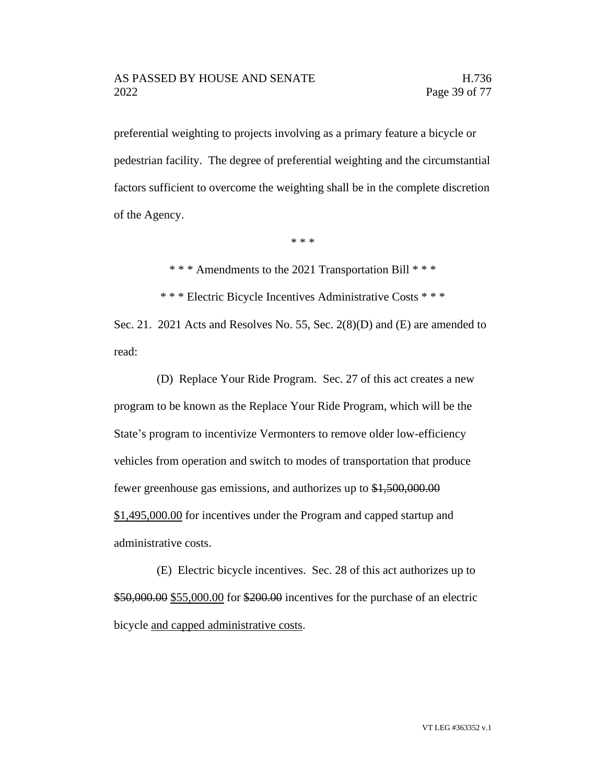preferential weighting to projects involving as a primary feature a bicycle or pedestrian facility. The degree of preferential weighting and the circumstantial factors sufficient to overcome the weighting shall be in the complete discretion of the Agency.

\* \* \*

\* \* \* Amendments to the 2021 Transportation Bill \* \* \*

\* \* \* Electric Bicycle Incentives Administrative Costs \* \* \*

Sec. 21. 2021 Acts and Resolves No. 55, Sec.  $2(8)(D)$  and (E) are amended to read:

(D) Replace Your Ride Program. Sec. 27 of this act creates a new program to be known as the Replace Your Ride Program, which will be the State's program to incentivize Vermonters to remove older low-efficiency vehicles from operation and switch to modes of transportation that produce fewer greenhouse gas emissions, and authorizes up to \$1,500,000.00 \$1,495,000.00 for incentives under the Program and capped startup and administrative costs.

(E) Electric bicycle incentives. Sec. 28 of this act authorizes up to \$50,000.00 \$55,000.00 for \$200.00 incentives for the purchase of an electric bicycle and capped administrative costs.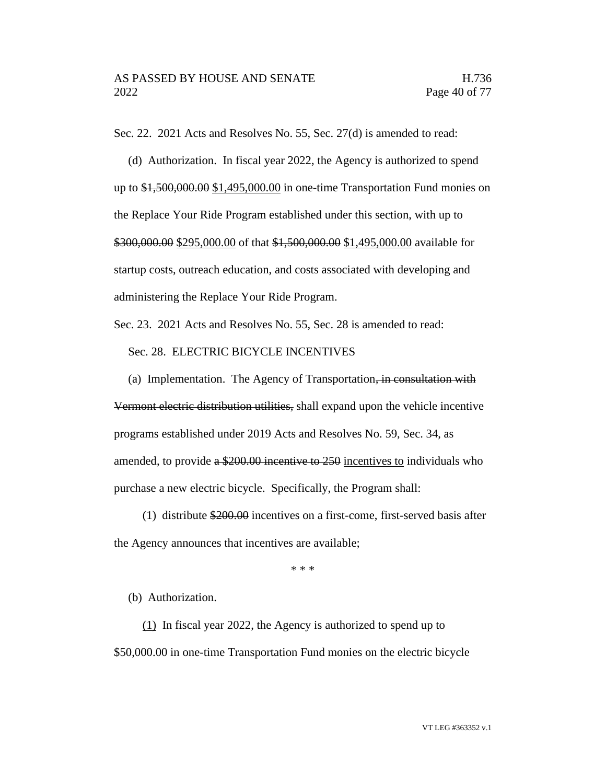Sec. 22. 2021 Acts and Resolves No. 55, Sec. 27(d) is amended to read:

(d) Authorization. In fiscal year 2022, the Agency is authorized to spend up to \$1,500,000.00 \$1,495,000.00 in one-time Transportation Fund monies on the Replace Your Ride Program established under this section, with up to \$300,000.00 \$295,000.00 of that \$1,500,000.00 \$1,495,000.00 available for startup costs, outreach education, and costs associated with developing and administering the Replace Your Ride Program.

Sec. 23. 2021 Acts and Resolves No. 55, Sec. 28 is amended to read:

Sec. 28. ELECTRIC BICYCLE INCENTIVES

(a) Implementation. The Agency of Transportation, in consultation with Vermont electric distribution utilities, shall expand upon the vehicle incentive programs established under 2019 Acts and Resolves No. 59, Sec. 34, as amended, to provide a \$200.00 incentive to 250 incentives to individuals who purchase a new electric bicycle. Specifically, the Program shall:

(1) distribute \$200.00 incentives on a first-come, first-served basis after the Agency announces that incentives are available;

\* \* \*

(b) Authorization.

(1) In fiscal year 2022, the Agency is authorized to spend up to \$50,000.00 in one-time Transportation Fund monies on the electric bicycle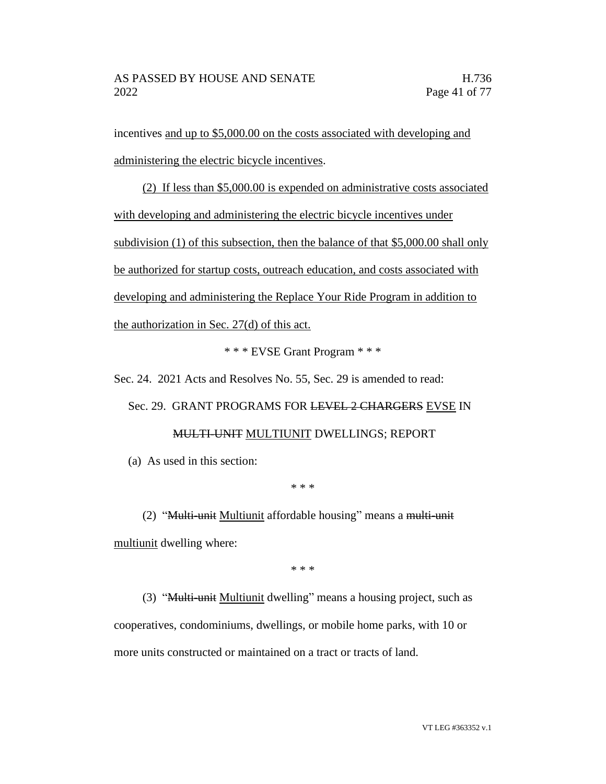incentives and up to \$5,000.00 on the costs associated with developing and administering the electric bicycle incentives.

(2) If less than \$5,000.00 is expended on administrative costs associated with developing and administering the electric bicycle incentives under subdivision (1) of this subsection, then the balance of that \$5,000.00 shall only be authorized for startup costs, outreach education, and costs associated with developing and administering the Replace Your Ride Program in addition to the authorization in Sec. 27(d) of this act.

\* \* \* EVSE Grant Program \* \* \*

Sec. 24. 2021 Acts and Resolves No. 55, Sec. 29 is amended to read: Sec. 29. GRANT PROGRAMS FOR LEVEL 2 CHARGERS EVSE IN MULTI-UNIT MULTIUNIT DWELLINGS; REPORT

(a) As used in this section:

\* \* \*

(2) "Multi-unit Multiunit affordable housing" means a multi-unit multiunit dwelling where:

\* \* \*

(3) "Multi-unit Multiunit dwelling" means a housing project, such as cooperatives, condominiums, dwellings, or mobile home parks, with 10 or more units constructed or maintained on a tract or tracts of land.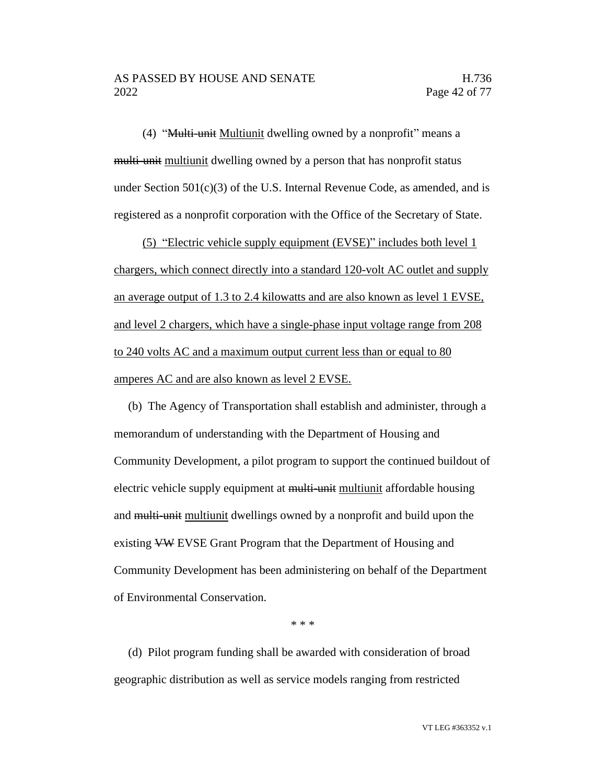(4) "Multi-unit Multiunit dwelling owned by a nonprofit" means a multi-unit multiunit dwelling owned by a person that has nonprofit status under Section  $501(c)(3)$  of the U.S. Internal Revenue Code, as amended, and is registered as a nonprofit corporation with the Office of the Secretary of State.

(5) "Electric vehicle supply equipment (EVSE)" includes both level 1 chargers, which connect directly into a standard 120-volt AC outlet and supply an average output of 1.3 to 2.4 kilowatts and are also known as level 1 EVSE, and level 2 chargers, which have a single-phase input voltage range from 208 to 240 volts AC and a maximum output current less than or equal to 80 amperes AC and are also known as level 2 EVSE.

(b) The Agency of Transportation shall establish and administer, through a memorandum of understanding with the Department of Housing and Community Development, a pilot program to support the continued buildout of electric vehicle supply equipment at multi-unit multiunit affordable housing and multi-unit multiunit dwellings owned by a nonprofit and build upon the existing VW EVSE Grant Program that the Department of Housing and Community Development has been administering on behalf of the Department of Environmental Conservation.

\* \* \*

(d) Pilot program funding shall be awarded with consideration of broad geographic distribution as well as service models ranging from restricted

VT LEG #363352 v.1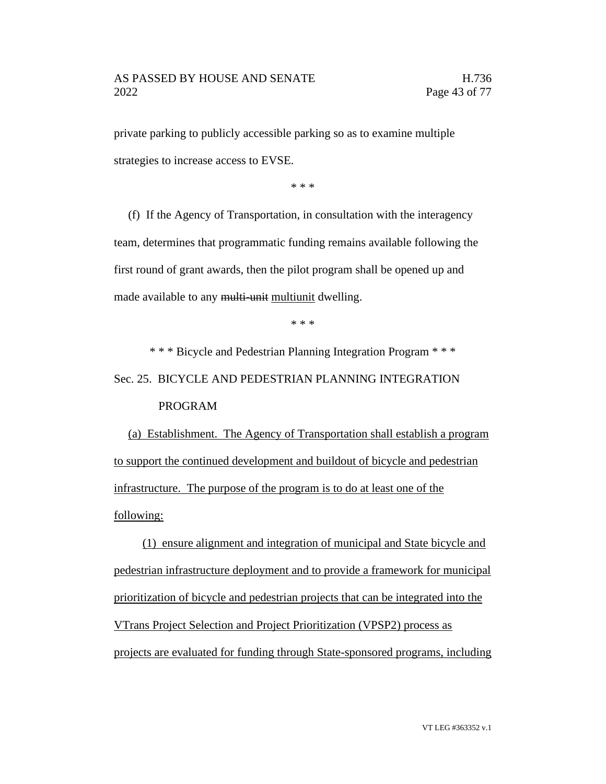private parking to publicly accessible parking so as to examine multiple strategies to increase access to EVSE.

\* \* \*

(f) If the Agency of Transportation, in consultation with the interagency team, determines that programmatic funding remains available following the first round of grant awards, then the pilot program shall be opened up and made available to any multi-unit multiunit dwelling.

\* \* \*

\* \* \* Bicycle and Pedestrian Planning Integration Program \* \* \*

Sec. 25. BICYCLE AND PEDESTRIAN PLANNING INTEGRATION

PROGRAM

(a) Establishment. The Agency of Transportation shall establish a program to support the continued development and buildout of bicycle and pedestrian infrastructure. The purpose of the program is to do at least one of the following:

(1) ensure alignment and integration of municipal and State bicycle and pedestrian infrastructure deployment and to provide a framework for municipal prioritization of bicycle and pedestrian projects that can be integrated into the VTrans Project Selection and Project Prioritization (VPSP2) process as projects are evaluated for funding through State-sponsored programs, including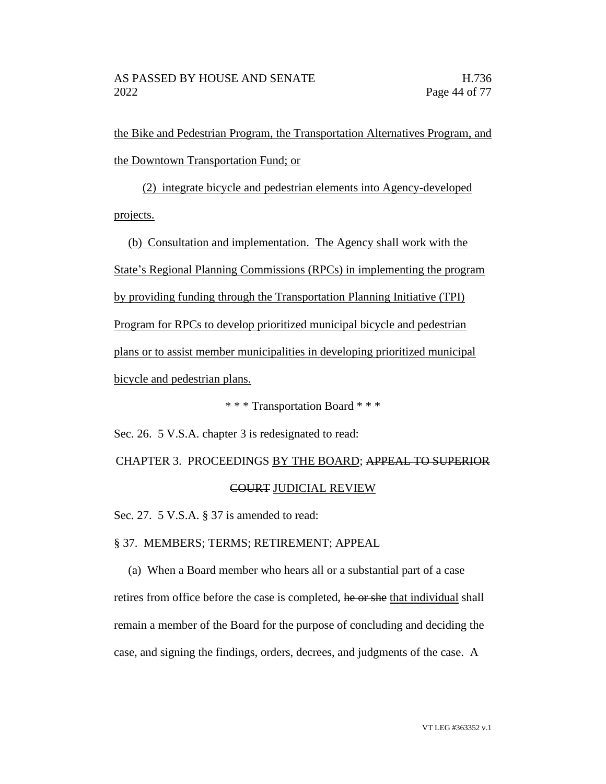the Bike and Pedestrian Program, the Transportation Alternatives Program, and the Downtown Transportation Fund; or

(2) integrate bicycle and pedestrian elements into Agency-developed projects.

(b) Consultation and implementation. The Agency shall work with the State's Regional Planning Commissions (RPCs) in implementing the program by providing funding through the Transportation Planning Initiative (TPI) Program for RPCs to develop prioritized municipal bicycle and pedestrian plans or to assist member municipalities in developing prioritized municipal bicycle and pedestrian plans.

\* \* \* Transportation Board \* \* \*

Sec. 26. 5 V.S.A. chapter 3 is redesignated to read:

## CHAPTER 3. PROCEEDINGS BY THE BOARD; APPEAL TO SUPERIOR COURT JUDICIAL REVIEW

Sec. 27. 5 V.S.A. § 37 is amended to read:

§ 37. MEMBERS; TERMS; RETIREMENT; APPEAL

(a) When a Board member who hears all or a substantial part of a case retires from office before the case is completed, he or she that individual shall remain a member of the Board for the purpose of concluding and deciding the case, and signing the findings, orders, decrees, and judgments of the case. A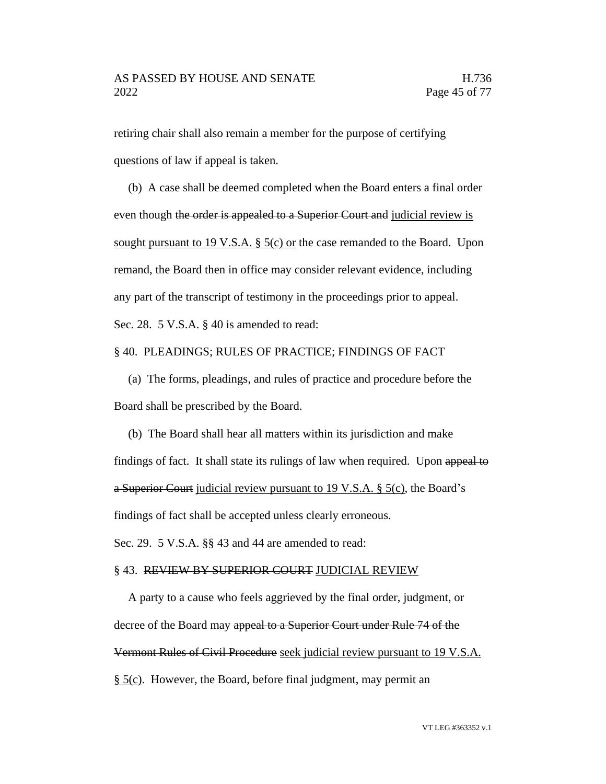retiring chair shall also remain a member for the purpose of certifying questions of law if appeal is taken.

(b) A case shall be deemed completed when the Board enters a final order even though the order is appealed to a Superior Court and judicial review is sought pursuant to 19 V.S.A.  $\S$  5(c) or the case remanded to the Board. Upon remand, the Board then in office may consider relevant evidence, including any part of the transcript of testimony in the proceedings prior to appeal. Sec. 28. 5 V.S.A. § 40 is amended to read:

§ 40. PLEADINGS; RULES OF PRACTICE; FINDINGS OF FACT

(a) The forms, pleadings, and rules of practice and procedure before the Board shall be prescribed by the Board.

(b) The Board shall hear all matters within its jurisdiction and make findings of fact. It shall state its rulings of law when required. Upon appeal to a Superior Court judicial review pursuant to 19 V.S.A. § 5(c), the Board's findings of fact shall be accepted unless clearly erroneous.

Sec. 29. 5 V.S.A. §§ 43 and 44 are amended to read:

#### §43. REVIEW BY SUPERIOR COURT JUDICIAL REVIEW

A party to a cause who feels aggrieved by the final order, judgment, or decree of the Board may appeal to a Superior Court under Rule 74 of the Vermont Rules of Civil Procedure seek judicial review pursuant to 19 V.S.A. § 5(c). However, the Board, before final judgment, may permit an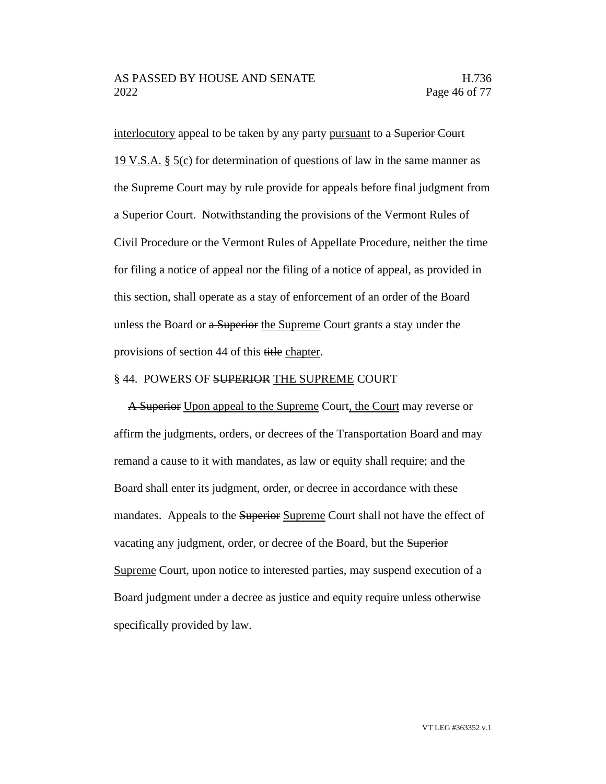interlocutory appeal to be taken by any party pursuant to a Superior Court 19 V.S.A. § 5(c) for determination of questions of law in the same manner as the Supreme Court may by rule provide for appeals before final judgment from a Superior Court. Notwithstanding the provisions of the Vermont Rules of Civil Procedure or the Vermont Rules of Appellate Procedure, neither the time for filing a notice of appeal nor the filing of a notice of appeal, as provided in this section, shall operate as a stay of enforcement of an order of the Board unless the Board or a Superior the Supreme Court grants a stay under the provisions of section 44 of this title chapter.

#### § 44. POWERS OF SUPERIOR THE SUPREME COURT

A Superior Upon appeal to the Supreme Court, the Court may reverse or affirm the judgments, orders, or decrees of the Transportation Board and may remand a cause to it with mandates, as law or equity shall require; and the Board shall enter its judgment, order, or decree in accordance with these mandates. Appeals to the Superior Supreme Court shall not have the effect of vacating any judgment, order, or decree of the Board, but the Superior Supreme Court, upon notice to interested parties, may suspend execution of a Board judgment under a decree as justice and equity require unless otherwise specifically provided by law.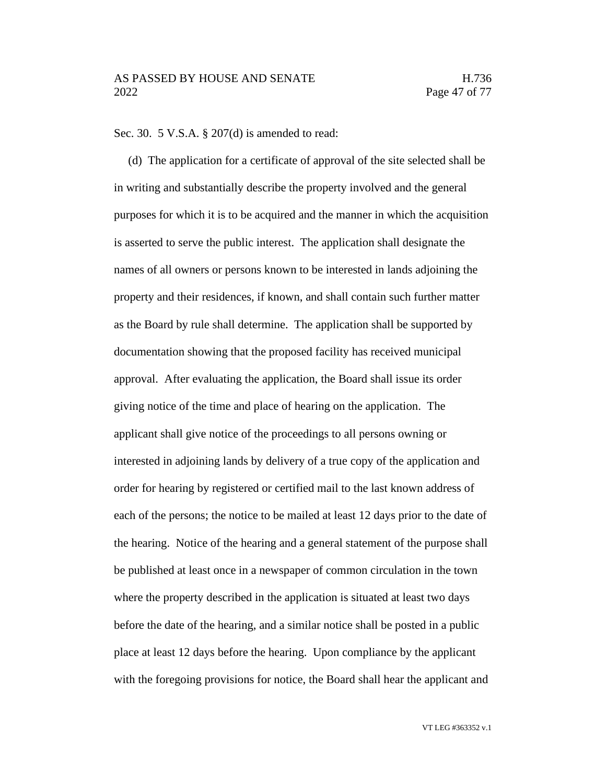#### Sec. 30. 5 V.S.A. § 207(d) is amended to read:

(d) The application for a certificate of approval of the site selected shall be in writing and substantially describe the property involved and the general purposes for which it is to be acquired and the manner in which the acquisition is asserted to serve the public interest. The application shall designate the names of all owners or persons known to be interested in lands adjoining the property and their residences, if known, and shall contain such further matter as the Board by rule shall determine. The application shall be supported by documentation showing that the proposed facility has received municipal approval. After evaluating the application, the Board shall issue its order giving notice of the time and place of hearing on the application. The applicant shall give notice of the proceedings to all persons owning or interested in adjoining lands by delivery of a true copy of the application and order for hearing by registered or certified mail to the last known address of each of the persons; the notice to be mailed at least 12 days prior to the date of the hearing. Notice of the hearing and a general statement of the purpose shall be published at least once in a newspaper of common circulation in the town where the property described in the application is situated at least two days before the date of the hearing, and a similar notice shall be posted in a public place at least 12 days before the hearing. Upon compliance by the applicant with the foregoing provisions for notice, the Board shall hear the applicant and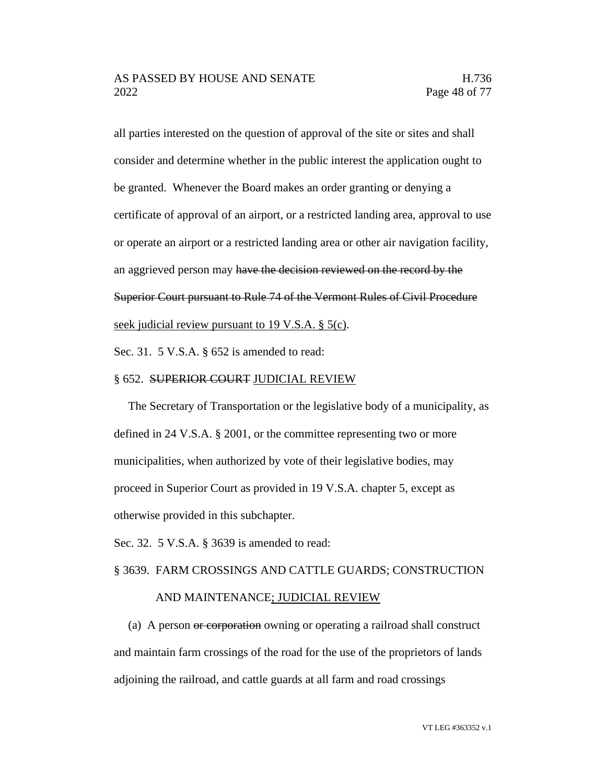all parties interested on the question of approval of the site or sites and shall consider and determine whether in the public interest the application ought to be granted. Whenever the Board makes an order granting or denying a certificate of approval of an airport, or a restricted landing area, approval to use or operate an airport or a restricted landing area or other air navigation facility, an aggrieved person may have the decision reviewed on the record by the Superior Court pursuant to Rule 74 of the Vermont Rules of Civil Procedure seek judicial review pursuant to 19 V.S.A. § 5(c).

Sec. 31. 5 V.S.A. § 652 is amended to read:

#### § 652. SUPERIOR COURT JUDICIAL REVIEW

The Secretary of Transportation or the legislative body of a municipality, as defined in 24 V.S.A. § 2001, or the committee representing two or more municipalities, when authorized by vote of their legislative bodies, may proceed in Superior Court as provided in 19 V.S.A. chapter 5, except as otherwise provided in this subchapter.

Sec. 32. 5 V.S.A. § 3639 is amended to read:

### § 3639. FARM CROSSINGS AND CATTLE GUARDS; CONSTRUCTION AND MAINTENANCE; JUDICIAL REVIEW

(a) A person or corporation owning or operating a railroad shall construct and maintain farm crossings of the road for the use of the proprietors of lands adjoining the railroad, and cattle guards at all farm and road crossings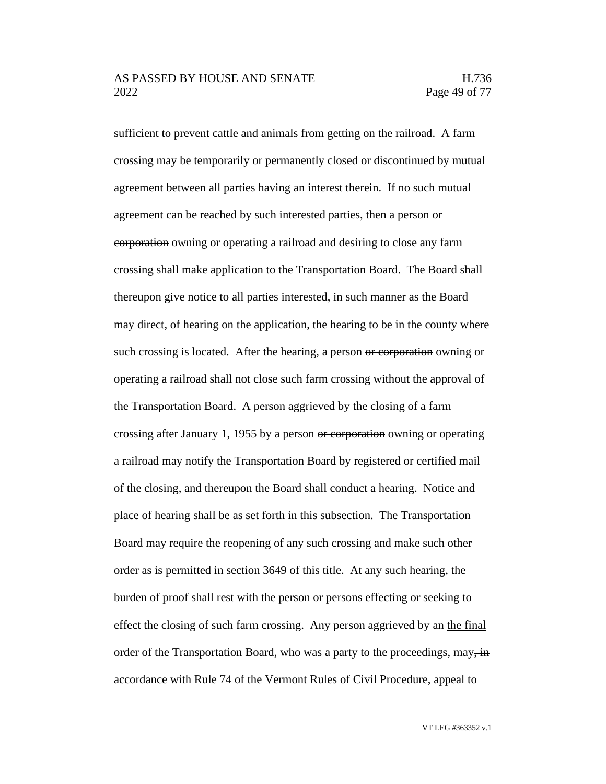#### AS PASSED BY HOUSE AND SENATE H.736 2022 Page 49 of 77

sufficient to prevent cattle and animals from getting on the railroad. A farm crossing may be temporarily or permanently closed or discontinued by mutual agreement between all parties having an interest therein. If no such mutual agreement can be reached by such interested parties, then a person or corporation owning or operating a railroad and desiring to close any farm crossing shall make application to the Transportation Board. The Board shall thereupon give notice to all parties interested, in such manner as the Board may direct, of hearing on the application, the hearing to be in the county where such crossing is located. After the hearing, a person or corporation owning or operating a railroad shall not close such farm crossing without the approval of the Transportation Board. A person aggrieved by the closing of a farm crossing after January 1, 1955 by a person or corporation owning or operating a railroad may notify the Transportation Board by registered or certified mail of the closing, and thereupon the Board shall conduct a hearing. Notice and place of hearing shall be as set forth in this subsection. The Transportation Board may require the reopening of any such crossing and make such other order as is permitted in section 3649 of this title. At any such hearing, the burden of proof shall rest with the person or persons effecting or seeking to effect the closing of such farm crossing. Any person aggrieved by an the final order of the Transportation Board, who was a party to the proceedings, may, in accordance with Rule 74 of the Vermont Rules of Civil Procedure, appeal to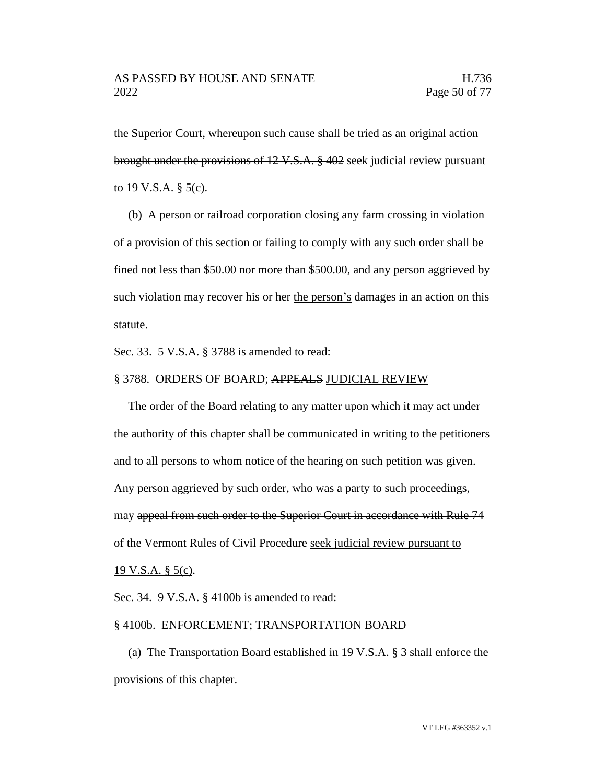the Superior Court, whereupon such cause shall be tried as an original action brought under the provisions of 12 V.S.A. § 402 seek judicial review pursuant to 19 V.S.A.  $\S$  5(c).

(b) A person or railroad corporation closing any farm crossing in violation of a provision of this section or failing to comply with any such order shall be fined not less than \$50.00 nor more than \$500.00, and any person aggrieved by such violation may recover his or her the person's damages in an action on this statute.

Sec. 33. 5 V.S.A. § 3788 is amended to read:

#### § 3788. ORDERS OF BOARD; APPEALS JUDICIAL REVIEW

The order of the Board relating to any matter upon which it may act under the authority of this chapter shall be communicated in writing to the petitioners and to all persons to whom notice of the hearing on such petition was given. Any person aggrieved by such order, who was a party to such proceedings, may appeal from such order to the Superior Court in accordance with Rule 74 of the Vermont Rules of Civil Procedure seek judicial review pursuant to 19 V.S.A. § 5(c).

Sec. 34. 9 V.S.A. § 4100b is amended to read:

#### § 4100b. ENFORCEMENT; TRANSPORTATION BOARD

(a) The Transportation Board established in 19 V.S.A. § 3 shall enforce the provisions of this chapter.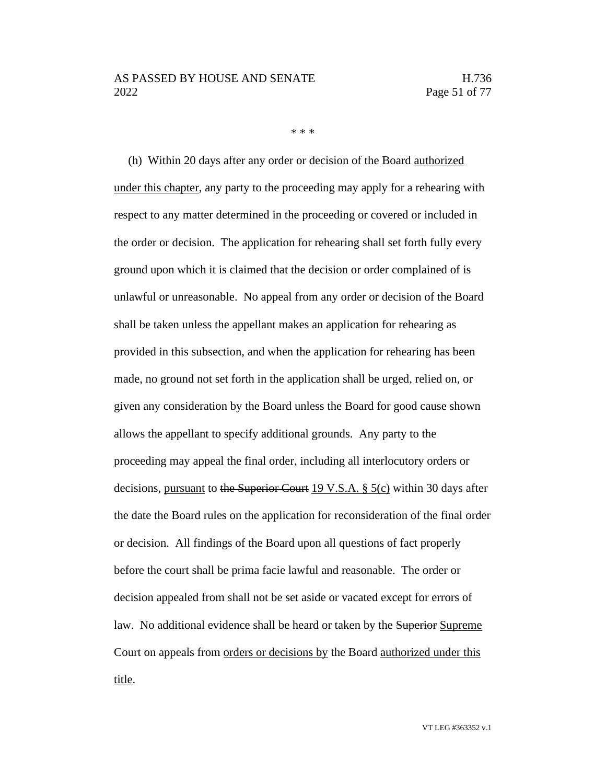\* \* \*

(h) Within 20 days after any order or decision of the Board authorized under this chapter, any party to the proceeding may apply for a rehearing with respect to any matter determined in the proceeding or covered or included in the order or decision. The application for rehearing shall set forth fully every ground upon which it is claimed that the decision or order complained of is unlawful or unreasonable. No appeal from any order or decision of the Board shall be taken unless the appellant makes an application for rehearing as provided in this subsection, and when the application for rehearing has been made, no ground not set forth in the application shall be urged, relied on, or given any consideration by the Board unless the Board for good cause shown allows the appellant to specify additional grounds. Any party to the proceeding may appeal the final order, including all interlocutory orders or decisions, pursuant to the Superior Court 19 V.S.A.  $\S$  5(c) within 30 days after the date the Board rules on the application for reconsideration of the final order or decision. All findings of the Board upon all questions of fact properly before the court shall be prima facie lawful and reasonable. The order or decision appealed from shall not be set aside or vacated except for errors of law. No additional evidence shall be heard or taken by the Superior Supreme Court on appeals from orders or decisions by the Board authorized under this title.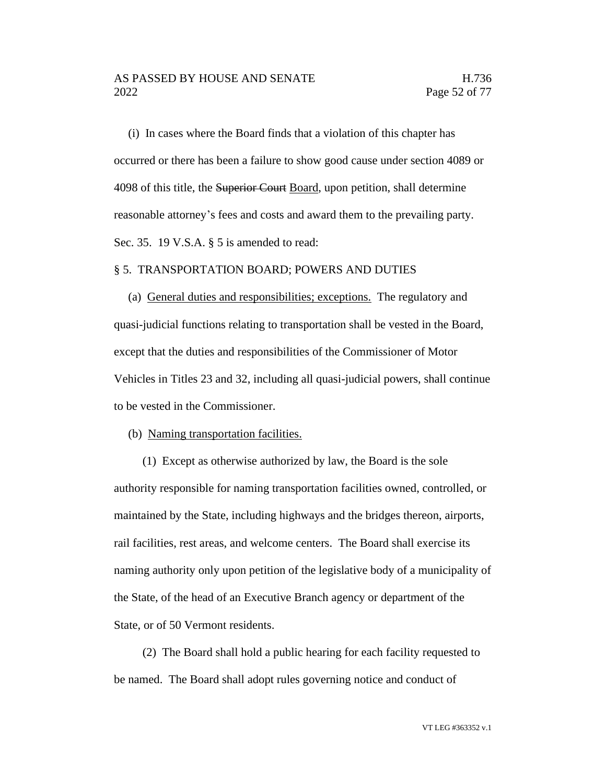(i) In cases where the Board finds that a violation of this chapter has occurred or there has been a failure to show good cause under section 4089 or 4098 of this title, the Superior Court Board, upon petition, shall determine reasonable attorney's fees and costs and award them to the prevailing party. Sec. 35. 19 V.S.A. § 5 is amended to read:

#### § 5. TRANSPORTATION BOARD; POWERS AND DUTIES

(a) General duties and responsibilities; exceptions. The regulatory and quasi-judicial functions relating to transportation shall be vested in the Board, except that the duties and responsibilities of the Commissioner of Motor Vehicles in Titles 23 and 32, including all quasi-judicial powers, shall continue to be vested in the Commissioner.

(b) Naming transportation facilities.

(1) Except as otherwise authorized by law, the Board is the sole authority responsible for naming transportation facilities owned, controlled, or maintained by the State, including highways and the bridges thereon, airports, rail facilities, rest areas, and welcome centers. The Board shall exercise its naming authority only upon petition of the legislative body of a municipality of the State, of the head of an Executive Branch agency or department of the State, or of 50 Vermont residents.

(2) The Board shall hold a public hearing for each facility requested to be named. The Board shall adopt rules governing notice and conduct of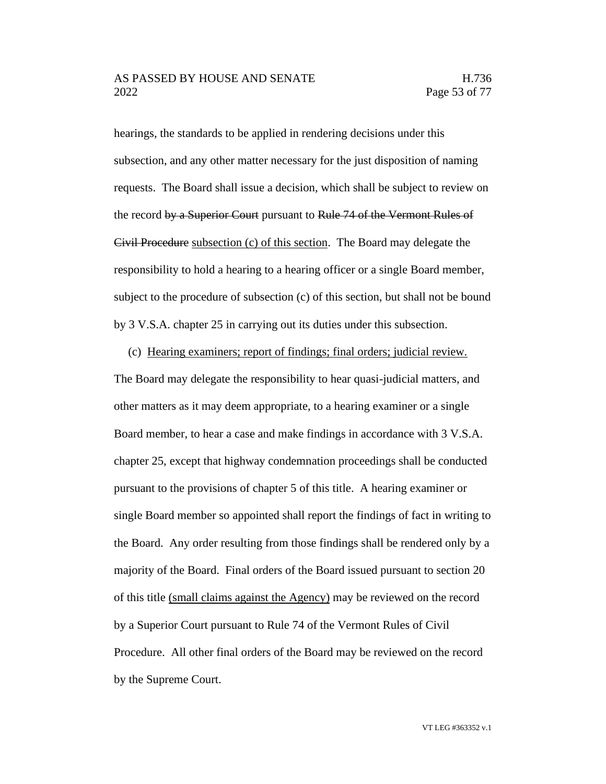hearings, the standards to be applied in rendering decisions under this subsection, and any other matter necessary for the just disposition of naming requests. The Board shall issue a decision, which shall be subject to review on the record by a Superior Court pursuant to Rule 74 of the Vermont Rules of Civil Procedure subsection (c) of this section. The Board may delegate the responsibility to hold a hearing to a hearing officer or a single Board member, subject to the procedure of subsection (c) of this section, but shall not be bound by 3 V.S.A. chapter 25 in carrying out its duties under this subsection.

(c) Hearing examiners; report of findings; final orders; judicial review.

The Board may delegate the responsibility to hear quasi-judicial matters, and other matters as it may deem appropriate, to a hearing examiner or a single Board member, to hear a case and make findings in accordance with 3 V.S.A. chapter 25, except that highway condemnation proceedings shall be conducted pursuant to the provisions of chapter 5 of this title. A hearing examiner or single Board member so appointed shall report the findings of fact in writing to the Board. Any order resulting from those findings shall be rendered only by a majority of the Board. Final orders of the Board issued pursuant to section 20 of this title (small claims against the Agency) may be reviewed on the record by a Superior Court pursuant to Rule 74 of the Vermont Rules of Civil Procedure. All other final orders of the Board may be reviewed on the record by the Supreme Court.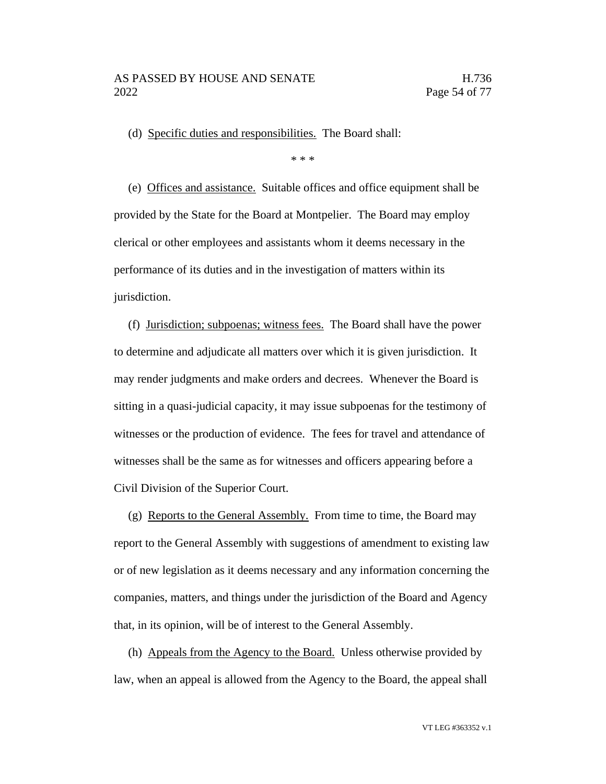(d) Specific duties and responsibilities. The Board shall:

\* \* \*

(e) Offices and assistance. Suitable offices and office equipment shall be provided by the State for the Board at Montpelier. The Board may employ clerical or other employees and assistants whom it deems necessary in the performance of its duties and in the investigation of matters within its jurisdiction.

(f) Jurisdiction; subpoenas; witness fees. The Board shall have the power to determine and adjudicate all matters over which it is given jurisdiction. It may render judgments and make orders and decrees. Whenever the Board is sitting in a quasi-judicial capacity, it may issue subpoenas for the testimony of witnesses or the production of evidence. The fees for travel and attendance of witnesses shall be the same as for witnesses and officers appearing before a Civil Division of the Superior Court.

(g) Reports to the General Assembly. From time to time, the Board may report to the General Assembly with suggestions of amendment to existing law or of new legislation as it deems necessary and any information concerning the companies, matters, and things under the jurisdiction of the Board and Agency that, in its opinion, will be of interest to the General Assembly.

(h) Appeals from the Agency to the Board. Unless otherwise provided by law, when an appeal is allowed from the Agency to the Board, the appeal shall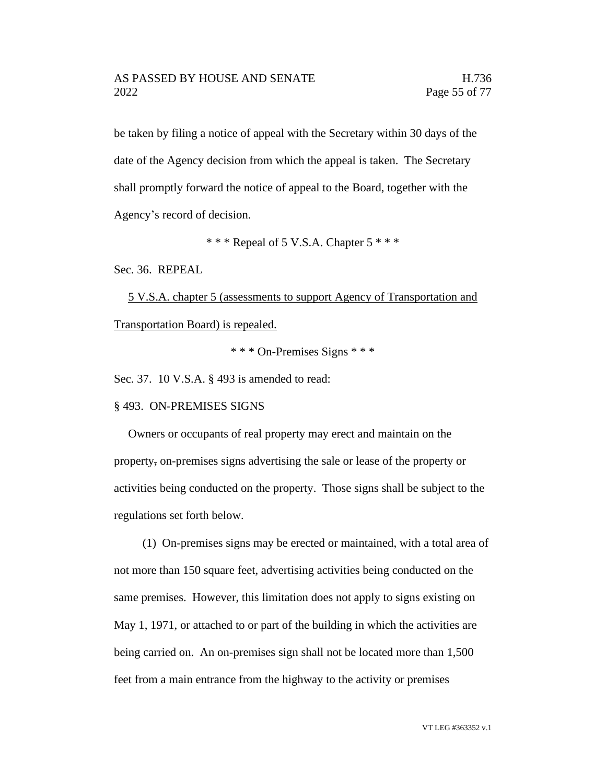be taken by filing a notice of appeal with the Secretary within 30 days of the date of the Agency decision from which the appeal is taken. The Secretary shall promptly forward the notice of appeal to the Board, together with the Agency's record of decision.

 $***$  Repeal of 5 V.S.A. Chapter 5  $***$ 

Sec. 36. REPEAL

5 V.S.A. chapter 5 (assessments to support Agency of Transportation and Transportation Board) is repealed.

\* \* \* On-Premises Signs \* \* \*

Sec. 37. 10 V.S.A. § 493 is amended to read:

§ 493. ON-PREMISES SIGNS

Owners or occupants of real property may erect and maintain on the property, on-premises signs advertising the sale or lease of the property or activities being conducted on the property. Those signs shall be subject to the regulations set forth below.

(1) On-premises signs may be erected or maintained, with a total area of not more than 150 square feet, advertising activities being conducted on the same premises. However, this limitation does not apply to signs existing on May 1, 1971, or attached to or part of the building in which the activities are being carried on. An on-premises sign shall not be located more than 1,500 feet from a main entrance from the highway to the activity or premises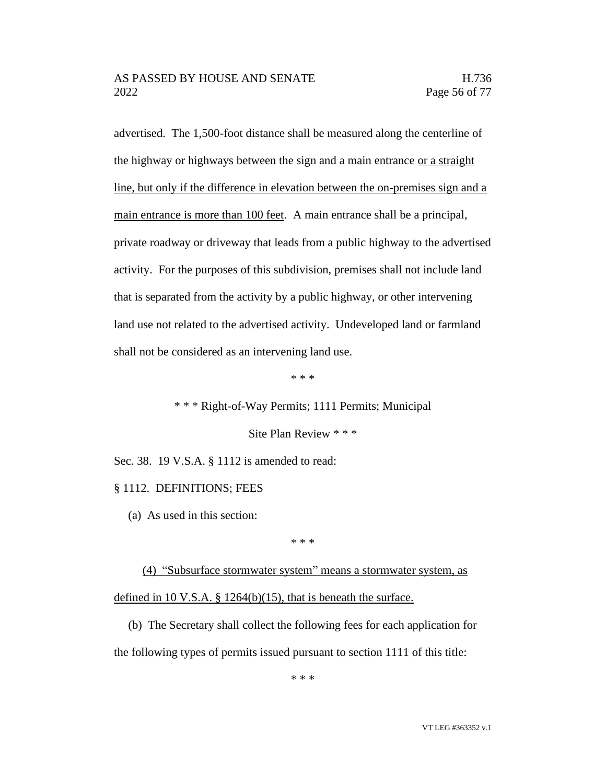advertised. The 1,500-foot distance shall be measured along the centerline of the highway or highways between the sign and a main entrance or a straight line, but only if the difference in elevation between the on-premises sign and a main entrance is more than 100 feet. A main entrance shall be a principal, private roadway or driveway that leads from a public highway to the advertised activity. For the purposes of this subdivision, premises shall not include land that is separated from the activity by a public highway, or other intervening land use not related to the advertised activity. Undeveloped land or farmland shall not be considered as an intervening land use.

\* \* \*

\* \* \* Right-of-Way Permits; 1111 Permits; Municipal

Site Plan Review \* \* \*

Sec. 38. 19 V.S.A. § 1112 is amended to read:

#### § 1112. DEFINITIONS; FEES

(a) As used in this section:

\* \* \*

(4) "Subsurface stormwater system" means a stormwater system, as defined in 10 V.S.A.  $\S$  1264(b)(15), that is beneath the surface.

(b) The Secretary shall collect the following fees for each application for the following types of permits issued pursuant to section 1111 of this title:

\* \* \*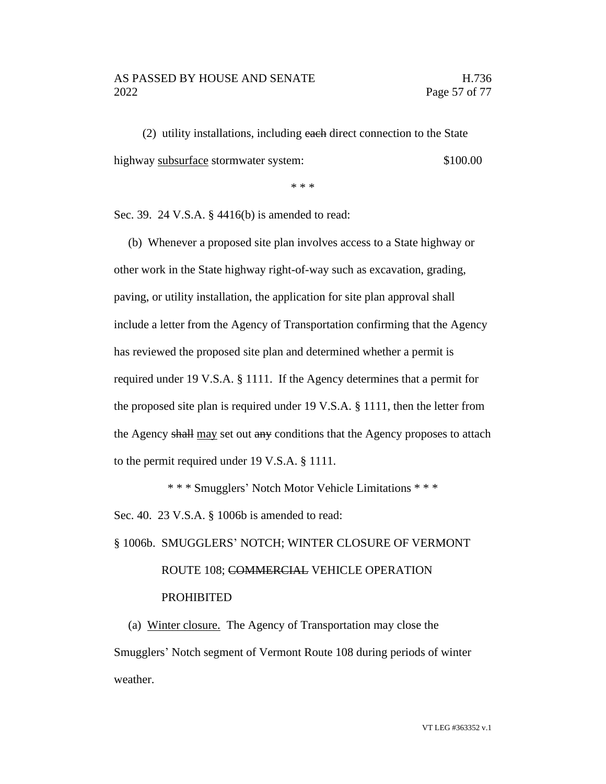#### AS PASSED BY HOUSE AND SENATE H.736 2022 Page 57 of 77

(2) utility installations, including each direct connection to the State highway subsurface stormwater system:  $$100.00$ 

\* \* \*

Sec. 39. 24 V.S.A. § 4416(b) is amended to read:

(b) Whenever a proposed site plan involves access to a State highway or other work in the State highway right-of-way such as excavation, grading, paving, or utility installation, the application for site plan approval shall include a letter from the Agency of Transportation confirming that the Agency has reviewed the proposed site plan and determined whether a permit is required under 19 V.S.A. § 1111. If the Agency determines that a permit for the proposed site plan is required under 19 V.S.A. § 1111, then the letter from the Agency shall may set out any conditions that the Agency proposes to attach to the permit required under 19 V.S.A. § 1111.

\* \* \* Smugglers' Notch Motor Vehicle Limitations \* \* \* Sec. 40. 23 V.S.A. § 1006b is amended to read:

# § 1006b. SMUGGLERS' NOTCH; WINTER CLOSURE OF VERMONT ROUTE 108; COMMERCIAL VEHICLE OPERATION PROHIBITED

(a) Winter closure. The Agency of Transportation may close the Smugglers' Notch segment of Vermont Route 108 during periods of winter weather.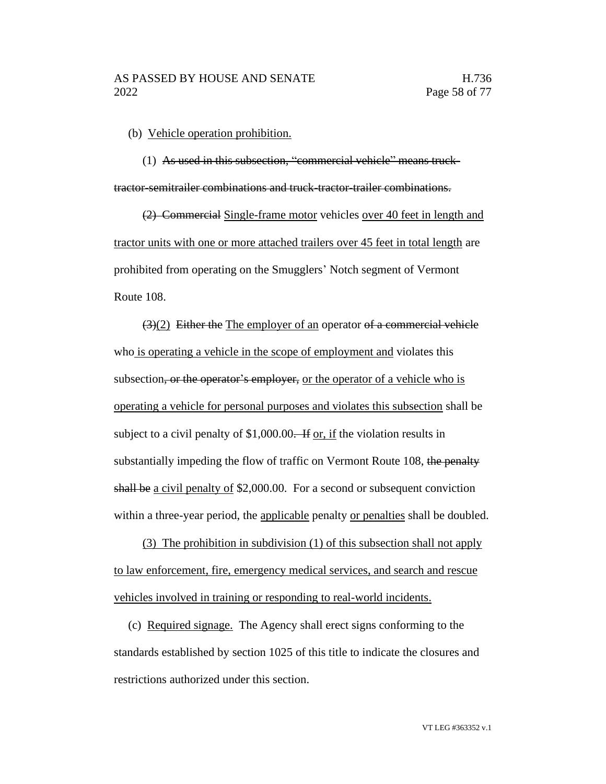(b) Vehicle operation prohibition.

(1) As used in this subsection, "commercial vehicle" means trucktractor-semitrailer combinations and truck-tractor-trailer combinations.

(2) Commercial Single-frame motor vehicles over 40 feet in length and tractor units with one or more attached trailers over 45 feet in total length are prohibited from operating on the Smugglers' Notch segment of Vermont Route 108.

 $(3)(2)$  Either the The employer of an operator of a commercial vehicle who is operating a vehicle in the scope of employment and violates this subsection, or the operator's employer, or the operator of a vehicle who is operating a vehicle for personal purposes and violates this subsection shall be subject to a civil penalty of \$1,000.00. If or, if the violation results in substantially impeding the flow of traffic on Vermont Route 108, the penalty shall be a civil penalty of \$2,000.00. For a second or subsequent conviction within a three-year period, the applicable penalty or penalties shall be doubled.

(3) The prohibition in subdivision (1) of this subsection shall not apply to law enforcement, fire, emergency medical services, and search and rescue vehicles involved in training or responding to real-world incidents.

(c) Required signage. The Agency shall erect signs conforming to the standards established by section 1025 of this title to indicate the closures and restrictions authorized under this section.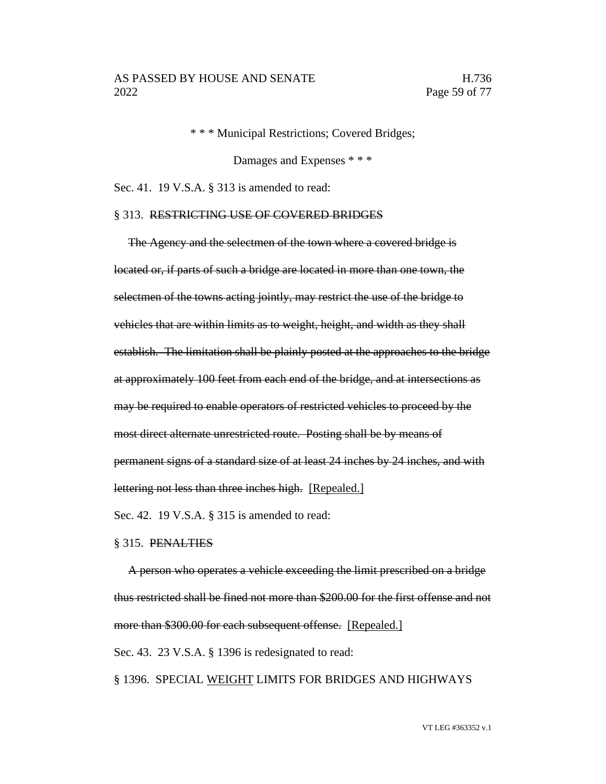\* \* \* Municipal Restrictions; Covered Bridges;

Damages and Expenses \* \* \*

Sec. 41. 19 V.S.A. § 313 is amended to read:

#### § 313. RESTRICTING USE OF COVERED BRIDGES

The Agency and the selectmen of the town where a covered bridge is located or, if parts of such a bridge are located in more than one town, the selectmen of the towns acting jointly, may restrict the use of the bridge to vehicles that are within limits as to weight, height, and width as they shall establish. The limitation shall be plainly posted at the approaches to the bridge at approximately 100 feet from each end of the bridge, and at intersections as may be required to enable operators of restricted vehicles to proceed by the most direct alternate unrestricted route. Posting shall be by means of permanent signs of a standard size of at least 24 inches by 24 inches, and with lettering not less than three inches high. [Repealed.]

Sec. 42. 19 V.S.A. § 315 is amended to read:

#### § 315. PENALTIES

A person who operates a vehicle exceeding the limit prescribed on a bridge thus restricted shall be fined not more than \$200.00 for the first offense and not more than \$300.00 for each subsequent offense. [Repealed.]

Sec. 43. 23 V.S.A. § 1396 is redesignated to read:

§ 1396. SPECIAL WEIGHT LIMITS FOR BRIDGES AND HIGHWAYS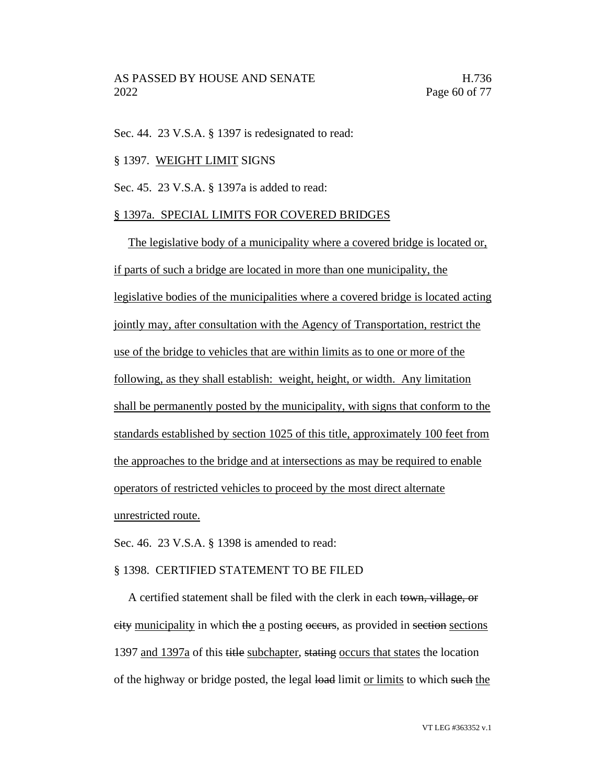Sec. 44. 23 V.S.A. § 1397 is redesignated to read:

#### § 1397. WEIGHT LIMIT SIGNS

Sec. 45. 23 V.S.A. § 1397a is added to read:

#### § 1397a. SPECIAL LIMITS FOR COVERED BRIDGES

The legislative body of a municipality where a covered bridge is located or, if parts of such a bridge are located in more than one municipality, the legislative bodies of the municipalities where a covered bridge is located acting jointly may, after consultation with the Agency of Transportation, restrict the use of the bridge to vehicles that are within limits as to one or more of the following, as they shall establish: weight, height, or width. Any limitation shall be permanently posted by the municipality, with signs that conform to the standards established by section 1025 of this title, approximately 100 feet from the approaches to the bridge and at intersections as may be required to enable operators of restricted vehicles to proceed by the most direct alternate unrestricted route.

Sec. 46. 23 V.S.A. § 1398 is amended to read:

#### § 1398. CERTIFIED STATEMENT TO BE FILED

A certified statement shall be filed with the clerk in each town, village, or city municipality in which the a posting occurs, as provided in section sections 1397 and 1397a of this title subchapter, stating occurs that states the location of the highway or bridge posted, the legal load limit or limits to which such the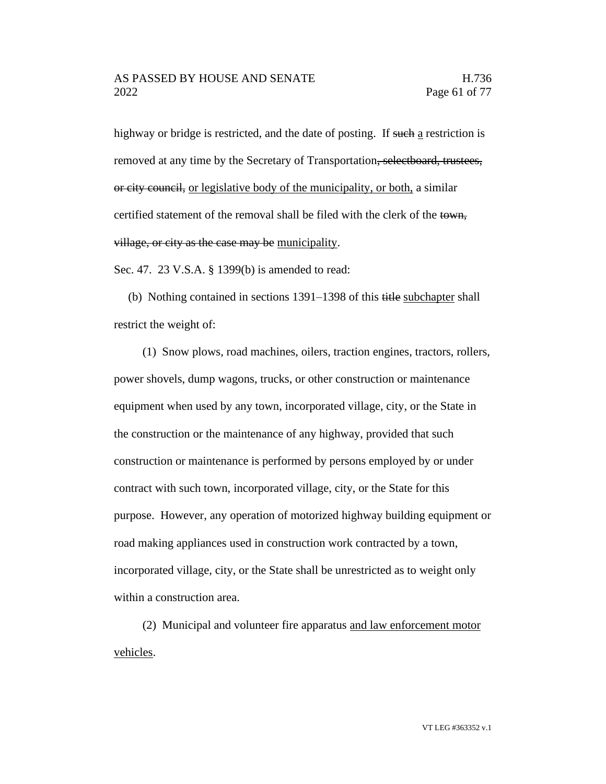highway or bridge is restricted, and the date of posting. If such a restriction is removed at any time by the Secretary of Transportation, selectboard, trustees, or city council, or legislative body of the municipality, or both, a similar certified statement of the removal shall be filed with the clerk of the town, village, or city as the case may be municipality.

Sec. 47. 23 V.S.A. § 1399(b) is amended to read:

(b) Nothing contained in sections 1391–1398 of this title subchapter shall restrict the weight of:

(1) Snow plows, road machines, oilers, traction engines, tractors, rollers, power shovels, dump wagons, trucks, or other construction or maintenance equipment when used by any town, incorporated village, city, or the State in the construction or the maintenance of any highway, provided that such construction or maintenance is performed by persons employed by or under contract with such town, incorporated village, city, or the State for this purpose. However, any operation of motorized highway building equipment or road making appliances used in construction work contracted by a town, incorporated village, city, or the State shall be unrestricted as to weight only within a construction area.

(2) Municipal and volunteer fire apparatus and law enforcement motor vehicles.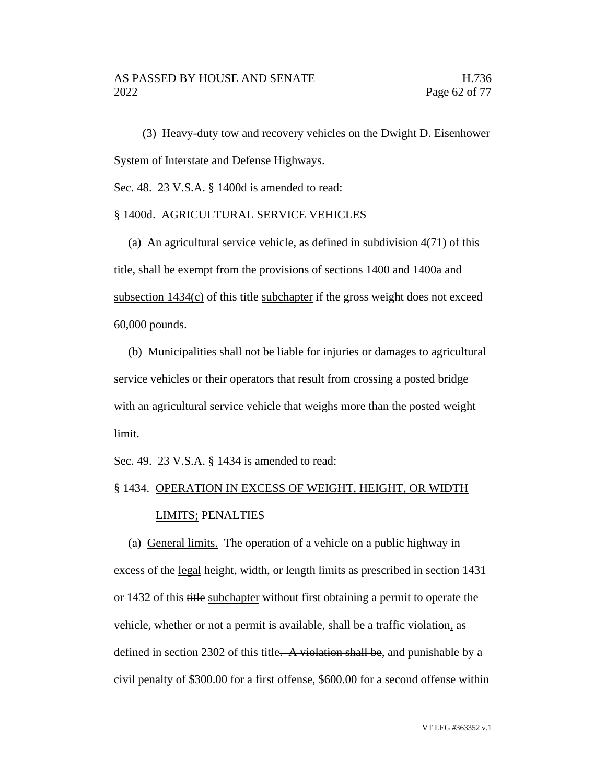(3) Heavy-duty tow and recovery vehicles on the Dwight D. Eisenhower System of Interstate and Defense Highways.

Sec. 48. 23 V.S.A. § 1400d is amended to read:

#### § 1400d. AGRICULTURAL SERVICE VEHICLES

(a) An agricultural service vehicle, as defined in subdivision 4(71) of this title, shall be exempt from the provisions of sections 1400 and 1400a and subsection  $1434(c)$  of this title subchapter if the gross weight does not exceed 60,000 pounds.

(b) Municipalities shall not be liable for injuries or damages to agricultural service vehicles or their operators that result from crossing a posted bridge with an agricultural service vehicle that weighs more than the posted weight limit.

Sec. 49. 23 V.S.A. § 1434 is amended to read:

# § 1434. OPERATION IN EXCESS OF WEIGHT, HEIGHT, OR WIDTH

#### LIMITS; PENALTIES

(a) General limits. The operation of a vehicle on a public highway in excess of the legal height, width, or length limits as prescribed in section 1431 or 1432 of this title subchapter without first obtaining a permit to operate the vehicle, whether or not a permit is available, shall be a traffic violation, as defined in section 2302 of this title. A violation shall be, and punishable by a civil penalty of \$300.00 for a first offense, \$600.00 for a second offense within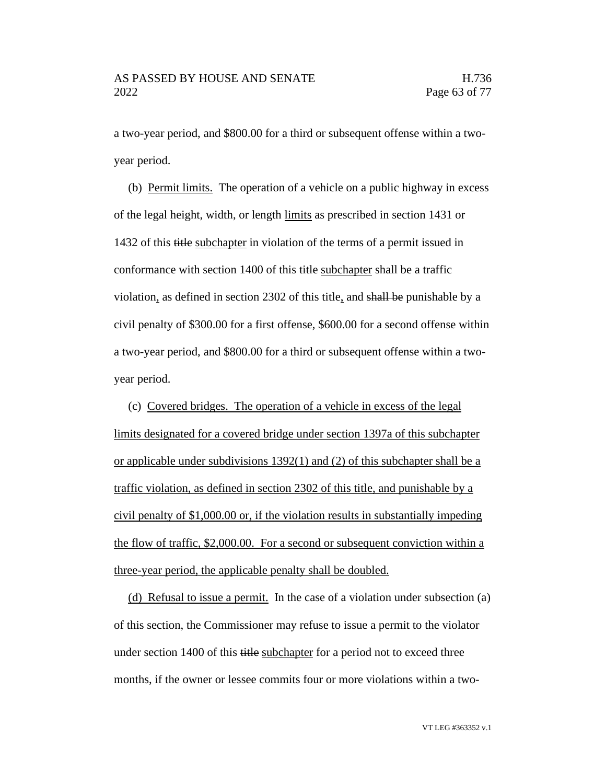a two-year period, and \$800.00 for a third or subsequent offense within a twoyear period.

(b) Permit limits. The operation of a vehicle on a public highway in excess of the legal height, width, or length limits as prescribed in section 1431 or 1432 of this title subchapter in violation of the terms of a permit issued in conformance with section 1400 of this title subchapter shall be a traffic violation, as defined in section 2302 of this title, and shall be punishable by a civil penalty of \$300.00 for a first offense, \$600.00 for a second offense within a two-year period, and \$800.00 for a third or subsequent offense within a twoyear period.

(c) Covered bridges. The operation of a vehicle in excess of the legal limits designated for a covered bridge under section 1397a of this subchapter or applicable under subdivisions 1392(1) and (2) of this subchapter shall be a traffic violation, as defined in section 2302 of this title, and punishable by a civil penalty of \$1,000.00 or, if the violation results in substantially impeding the flow of traffic, \$2,000.00. For a second or subsequent conviction within a three-year period, the applicable penalty shall be doubled.

(d) Refusal to issue a permit. In the case of a violation under subsection (a) of this section, the Commissioner may refuse to issue a permit to the violator under section 1400 of this title subchapter for a period not to exceed three months, if the owner or lessee commits four or more violations within a two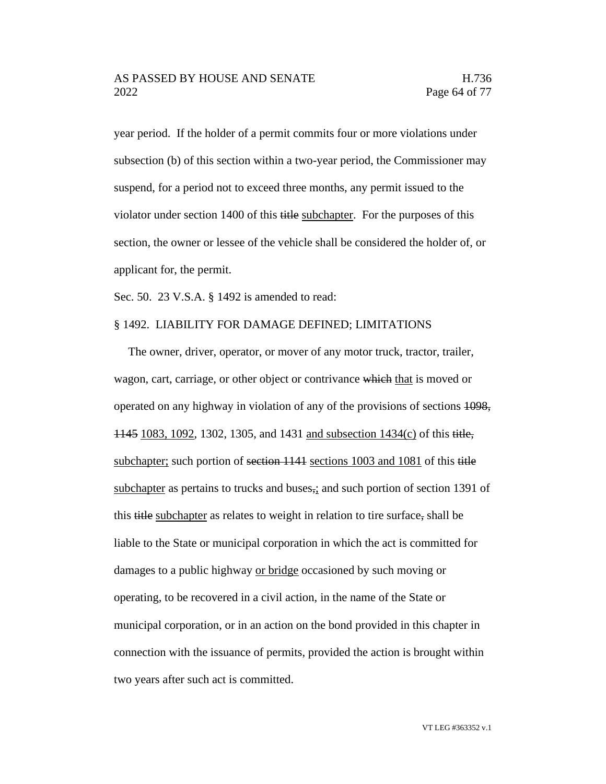year period. If the holder of a permit commits four or more violations under subsection (b) of this section within a two-year period, the Commissioner may suspend, for a period not to exceed three months, any permit issued to the violator under section 1400 of this title subchapter. For the purposes of this section, the owner or lessee of the vehicle shall be considered the holder of, or applicant for, the permit.

Sec. 50. 23 V.S.A. § 1492 is amended to read:

#### § 1492. LIABILITY FOR DAMAGE DEFINED; LIMITATIONS

The owner, driver, operator, or mover of any motor truck, tractor, trailer, wagon, cart, carriage, or other object or contrivance which that is moved or operated on any highway in violation of any of the provisions of sections 1098, 1145 1083, 1092, 1302, 1305, and 1431 and subsection 1434(c) of this title, subchapter; such portion of section 1141 sections 1003 and 1081 of this title subchapter as pertains to trucks and buses<sub>z</sub>; and such portion of section 1391 of this title subchapter as relates to weight in relation to tire surface, shall be liable to the State or municipal corporation in which the act is committed for damages to a public highway or bridge occasioned by such moving or operating, to be recovered in a civil action, in the name of the State or municipal corporation, or in an action on the bond provided in this chapter in connection with the issuance of permits, provided the action is brought within two years after such act is committed.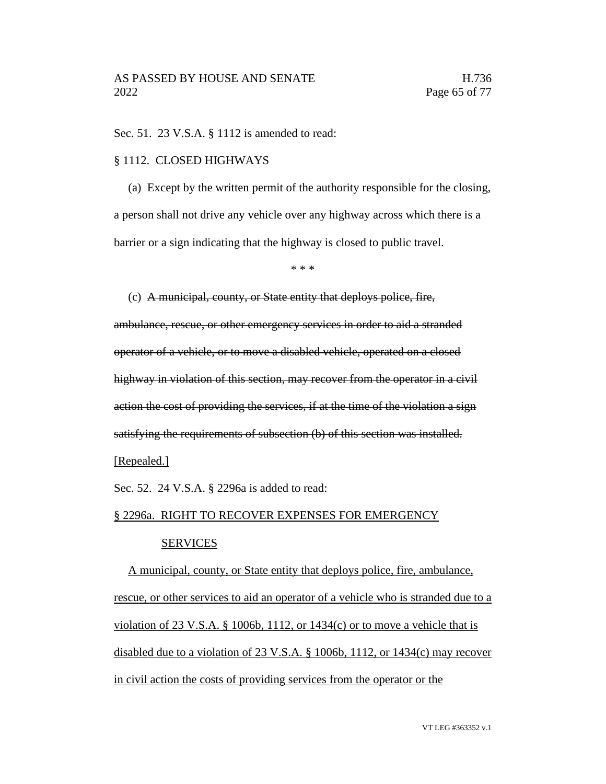Sec. 51. 23 V.S.A. § 1112 is amended to read:

#### § 1112. CLOSED HIGHWAYS

(a) Except by the written permit of the authority responsible for the closing, a person shall not drive any vehicle over any highway across which there is a barrier or a sign indicating that the highway is closed to public travel.

\* \* \*

(c) A municipal, county, or State entity that deploys police, fire,

ambulance, rescue, or other emergency services in order to aid a stranded operator of a vehicle, or to move a disabled vehicle, operated on a closed highway in violation of this section, may recover from the operator in a civil action the cost of providing the services, if at the time of the violation a sign satisfying the requirements of subsection (b) of this section was installed.

#### [Repealed.]

Sec. 52. 24 V.S.A. § 2296a is added to read:

#### § 2296a. RIGHT TO RECOVER EXPENSES FOR EMERGENCY

#### SERVICES

A municipal, county, or State entity that deploys police, fire, ambulance, rescue, or other services to aid an operator of a vehicle who is stranded due to a violation of 23 V.S.A. § 1006b, 1112, or  $1434(c)$  or to move a vehicle that is disabled due to a violation of 23 V.S.A. § 1006b, 1112, or 1434(c) may recover in civil action the costs of providing services from the operator or the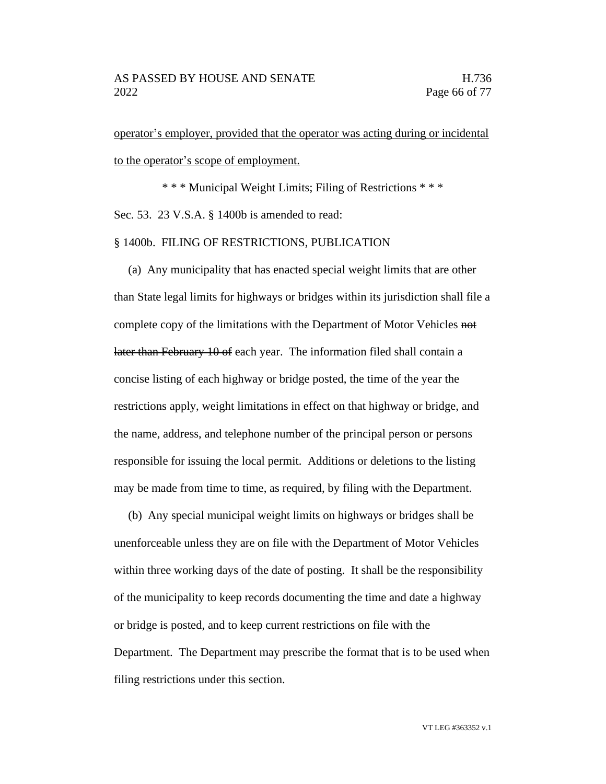operator's employer, provided that the operator was acting during or incidental to the operator's scope of employment.

\* \* \* Municipal Weight Limits; Filing of Restrictions \* \* \* Sec. 53. 23 V.S.A. § 1400b is amended to read:

#### § 1400b. FILING OF RESTRICTIONS, PUBLICATION

(a) Any municipality that has enacted special weight limits that are other than State legal limits for highways or bridges within its jurisdiction shall file a complete copy of the limitations with the Department of Motor Vehicles not later than February 10 of each year. The information filed shall contain a concise listing of each highway or bridge posted, the time of the year the restrictions apply, weight limitations in effect on that highway or bridge, and the name, address, and telephone number of the principal person or persons responsible for issuing the local permit. Additions or deletions to the listing may be made from time to time, as required, by filing with the Department.

(b) Any special municipal weight limits on highways or bridges shall be unenforceable unless they are on file with the Department of Motor Vehicles within three working days of the date of posting. It shall be the responsibility of the municipality to keep records documenting the time and date a highway or bridge is posted, and to keep current restrictions on file with the Department. The Department may prescribe the format that is to be used when filing restrictions under this section.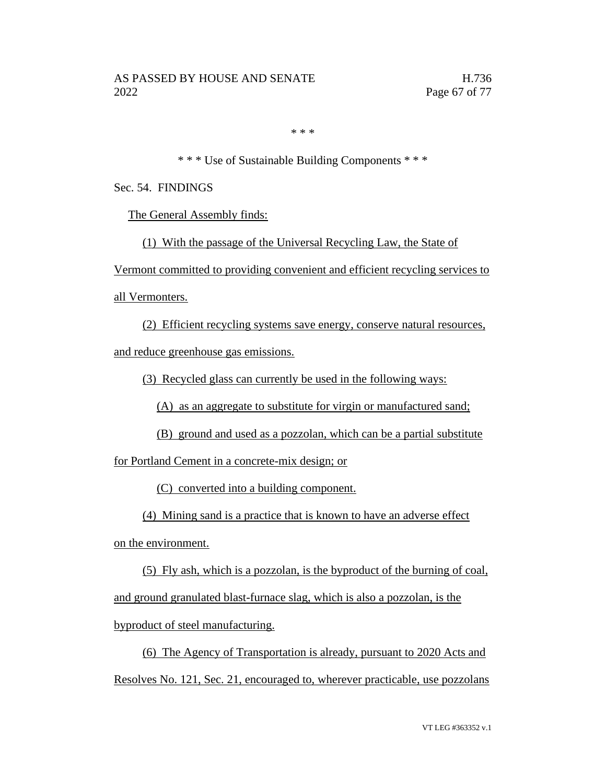\* \* \*

\* \* \* Use of Sustainable Building Components \* \* \*

Sec. 54. FINDINGS

The General Assembly finds:

(1) With the passage of the Universal Recycling Law, the State of

Vermont committed to providing convenient and efficient recycling services to

all Vermonters.

(2) Efficient recycling systems save energy, conserve natural resources, and reduce greenhouse gas emissions.

(3) Recycled glass can currently be used in the following ways:

(A) as an aggregate to substitute for virgin or manufactured sand;

(B) ground and used as a pozzolan, which can be a partial substitute

for Portland Cement in a concrete-mix design; or

(C) converted into a building component.

(4) Mining sand is a practice that is known to have an adverse effect

on the environment.

(5) Fly ash, which is a pozzolan, is the byproduct of the burning of coal, and ground granulated blast-furnace slag, which is also a pozzolan, is the byproduct of steel manufacturing.

(6) The Agency of Transportation is already, pursuant to 2020 Acts and Resolves No. 121, Sec. 21, encouraged to, wherever practicable, use pozzolans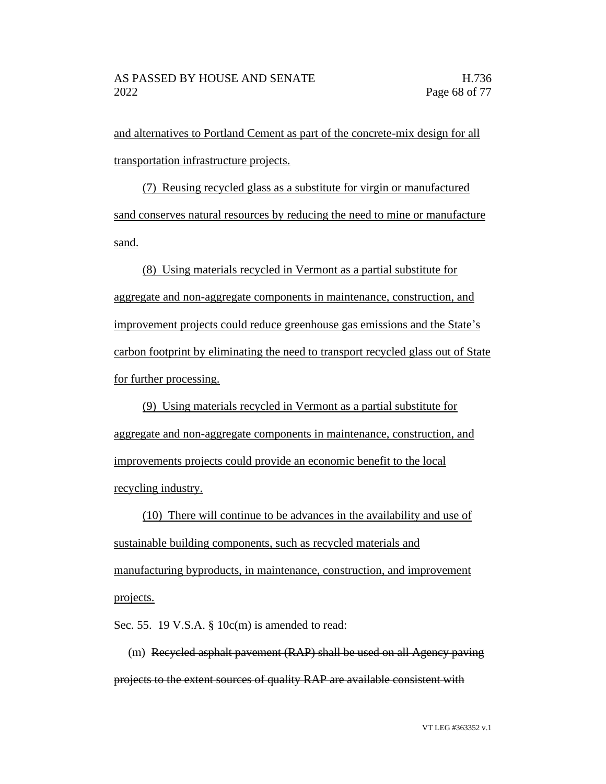and alternatives to Portland Cement as part of the concrete-mix design for all transportation infrastructure projects.

(7) Reusing recycled glass as a substitute for virgin or manufactured sand conserves natural resources by reducing the need to mine or manufacture sand.

(8) Using materials recycled in Vermont as a partial substitute for aggregate and non-aggregate components in maintenance, construction, and improvement projects could reduce greenhouse gas emissions and the State's carbon footprint by eliminating the need to transport recycled glass out of State for further processing.

(9) Using materials recycled in Vermont as a partial substitute for aggregate and non-aggregate components in maintenance, construction, and improvements projects could provide an economic benefit to the local recycling industry.

(10) There will continue to be advances in the availability and use of sustainable building components, such as recycled materials and manufacturing byproducts, in maintenance, construction, and improvement projects.

Sec. 55. 19 V.S.A. § 10c(m) is amended to read:

(m) Recycled asphalt pavement (RAP) shall be used on all Agency paving projects to the extent sources of quality RAP are available consistent with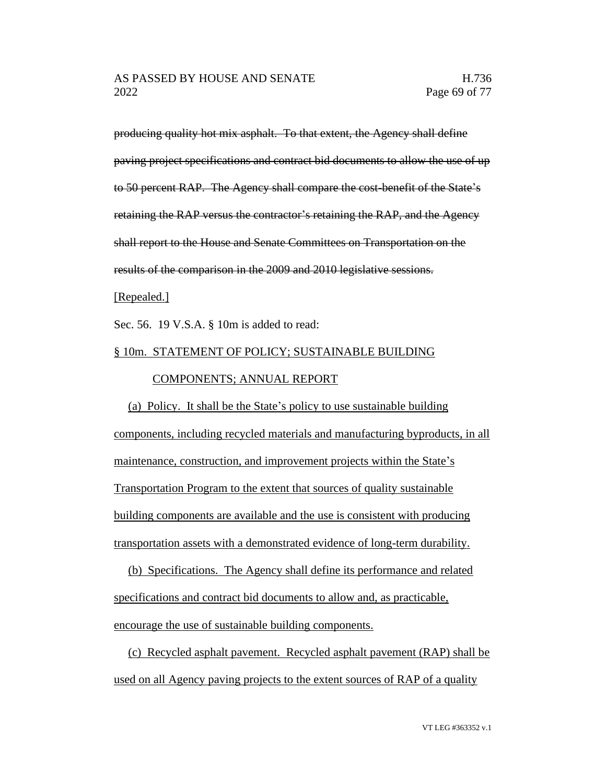producing quality hot mix asphalt. To that extent, the Agency shall define paving project specifications and contract bid documents to allow the use of up to 50 percent RAP. The Agency shall compare the cost-benefit of the State's retaining the RAP versus the contractor's retaining the RAP, and the Agency shall report to the House and Senate Committees on Transportation on the results of the comparison in the 2009 and 2010 legislative sessions.

[Repealed.]

Sec. 56. 19 V.S.A. § 10m is added to read:

#### § 10m. STATEMENT OF POLICY; SUSTAINABLE BUILDING

#### COMPONENTS; ANNUAL REPORT

(a) Policy. It shall be the State's policy to use sustainable building components, including recycled materials and manufacturing byproducts, in all maintenance, construction, and improvement projects within the State's Transportation Program to the extent that sources of quality sustainable building components are available and the use is consistent with producing transportation assets with a demonstrated evidence of long-term durability.

(b) Specifications. The Agency shall define its performance and related specifications and contract bid documents to allow and, as practicable, encourage the use of sustainable building components.

(c) Recycled asphalt pavement. Recycled asphalt pavement (RAP) shall be used on all Agency paving projects to the extent sources of RAP of a quality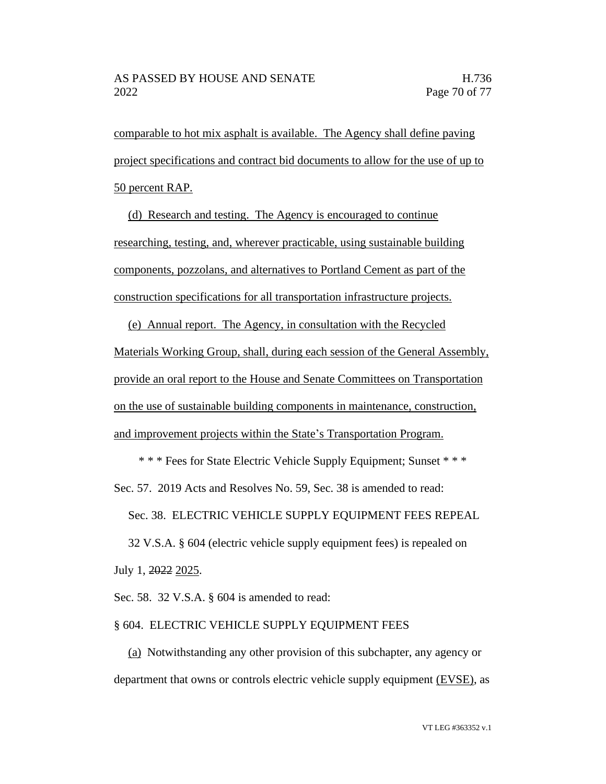comparable to hot mix asphalt is available. The Agency shall define paving project specifications and contract bid documents to allow for the use of up to 50 percent RAP.

(d) Research and testing. The Agency is encouraged to continue researching, testing, and, wherever practicable, using sustainable building components, pozzolans, and alternatives to Portland Cement as part of the construction specifications for all transportation infrastructure projects.

(e) Annual report. The Agency, in consultation with the Recycled Materials Working Group, shall, during each session of the General Assembly, provide an oral report to the House and Senate Committees on Transportation on the use of sustainable building components in maintenance, construction, and improvement projects within the State's Transportation Program.

\* \* \* Fees for State Electric Vehicle Supply Equipment; Sunset \* \* \*

Sec. 57. 2019 Acts and Resolves No. 59, Sec. 38 is amended to read:

Sec. 38. ELECTRIC VEHICLE SUPPLY EQUIPMENT FEES REPEAL

32 V.S.A. § 604 (electric vehicle supply equipment fees) is repealed on July 1, 2022 2025.

Sec. 58. 32 V.S.A. § 604 is amended to read:

#### § 604. ELECTRIC VEHICLE SUPPLY EQUIPMENT FEES

(a) Notwithstanding any other provision of this subchapter, any agency or department that owns or controls electric vehicle supply equipment (EVSE), as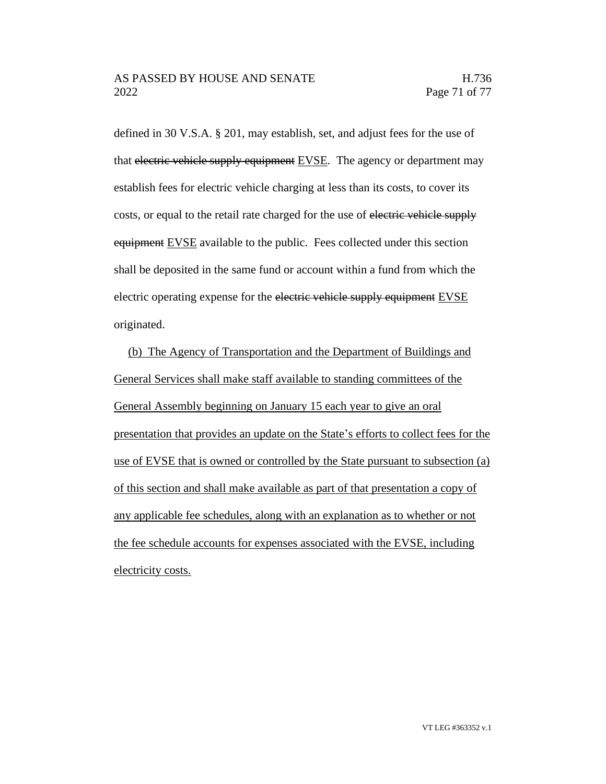defined in 30 V.S.A. § 201, may establish, set, and adjust fees for the use of that electric vehicle supply equipment EVSE. The agency or department may establish fees for electric vehicle charging at less than its costs, to cover its costs, or equal to the retail rate charged for the use of electric vehicle supply equipment EVSE available to the public. Fees collected under this section shall be deposited in the same fund or account within a fund from which the electric operating expense for the electric vehicle supply equipment EVSE originated.

(b) The Agency of Transportation and the Department of Buildings and General Services shall make staff available to standing committees of the General Assembly beginning on January 15 each year to give an oral presentation that provides an update on the State's efforts to collect fees for the use of EVSE that is owned or controlled by the State pursuant to subsection (a) of this section and shall make available as part of that presentation a copy of any applicable fee schedules, along with an explanation as to whether or not the fee schedule accounts for expenses associated with the EVSE, including electricity costs.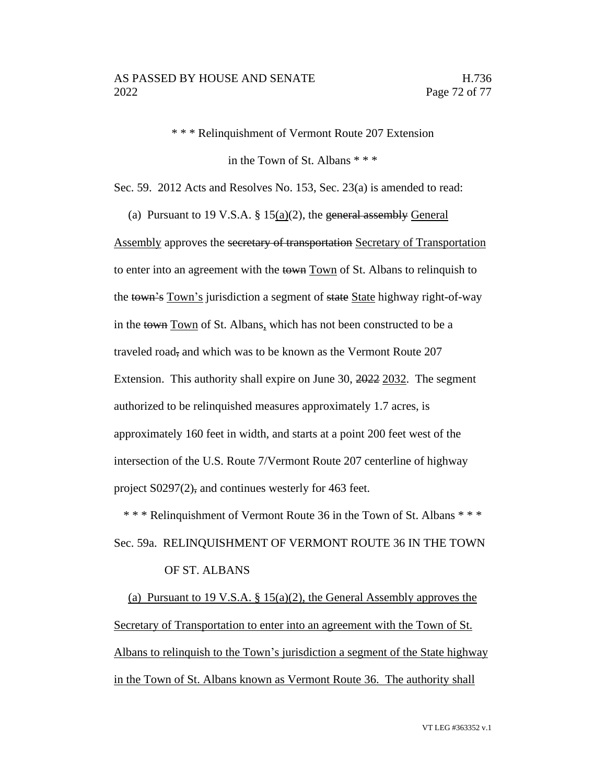\* \* \* Relinquishment of Vermont Route 207 Extension

in the Town of St. Albans \* \* \*

Sec. 59. 2012 Acts and Resolves No. 153, Sec. 23(a) is amended to read:

(a) Pursuant to 19 V.S.A.  $\S$  15(a)(2), the general assembly General Assembly approves the secretary of transportation Secretary of Transportation to enter into an agreement with the town Town of St. Albans to relinquish to the town's Town's jurisdiction a segment of state State highway right-of-way in the town Town of St. Albans, which has not been constructed to be a traveled road, and which was to be known as the Vermont Route 207 Extension. This authority shall expire on June 30, 2022 2032. The segment authorized to be relinquished measures approximately 1.7 acres, is approximately 160 feet in width, and starts at a point 200 feet west of the intersection of the U.S. Route 7/Vermont Route 207 centerline of highway project S0297(2), and continues westerly for 463 feet.

\* \* \* Relinquishment of Vermont Route 36 in the Town of St. Albans \* \* \* Sec. 59a. RELINQUISHMENT OF VERMONT ROUTE 36 IN THE TOWN OF ST. ALBANS

(a) Pursuant to 19 V.S.A. § 15(a)(2), the General Assembly approves the Secretary of Transportation to enter into an agreement with the Town of St. Albans to relinquish to the Town's jurisdiction a segment of the State highway in the Town of St. Albans known as Vermont Route 36. The authority shall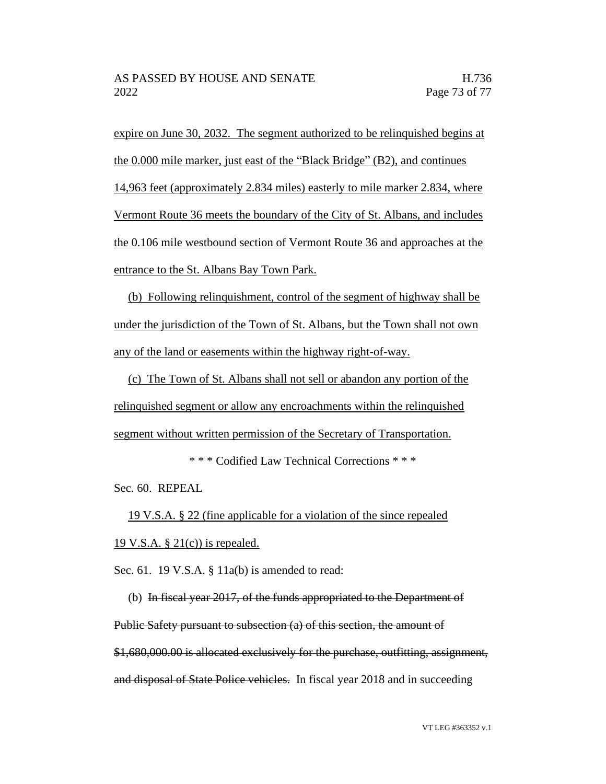expire on June 30, 2032. The segment authorized to be relinquished begins at the 0.000 mile marker, just east of the "Black Bridge" (B2), and continues 14,963 feet (approximately 2.834 miles) easterly to mile marker 2.834, where Vermont Route 36 meets the boundary of the City of St. Albans, and includes the 0.106 mile westbound section of Vermont Route 36 and approaches at the entrance to the St. Albans Bay Town Park.

(b) Following relinquishment, control of the segment of highway shall be under the jurisdiction of the Town of St. Albans, but the Town shall not own any of the land or easements within the highway right-of-way.

(c) The Town of St. Albans shall not sell or abandon any portion of the relinquished segment or allow any encroachments within the relinquished segment without written permission of the Secretary of Transportation.

\* \* \* Codified Law Technical Corrections \* \* \*

Sec. 60. REPEAL

19 V.S.A. § 22 (fine applicable for a violation of the since repealed 19 V.S.A.  $\S 21(c)$  is repealed.

Sec. 61. 19 V.S.A. § 11a(b) is amended to read:

(b) In fiscal year 2017, of the funds appropriated to the Department of Public Safety pursuant to subsection (a) of this section, the amount of \$1,680,000.00 is allocated exclusively for the purchase, outfitting, assignment, and disposal of State Police vehicles. In fiscal year 2018 and in succeeding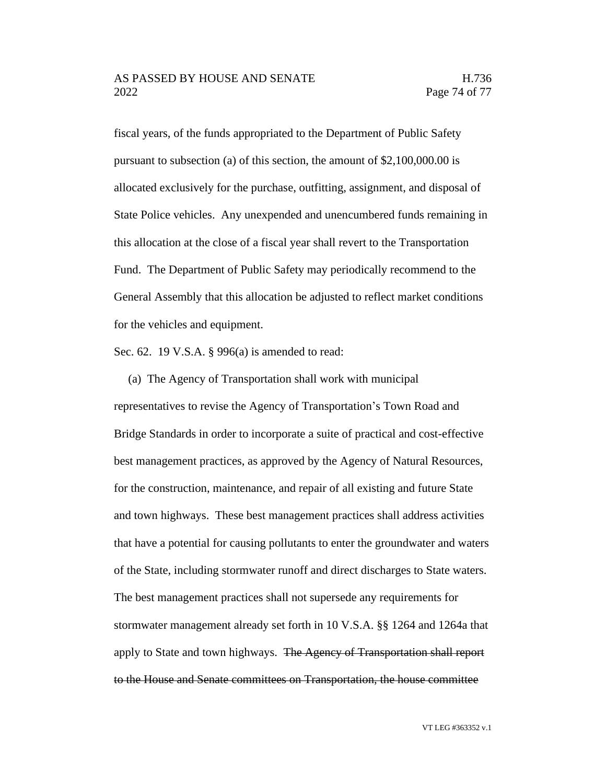fiscal years, of the funds appropriated to the Department of Public Safety pursuant to subsection (a) of this section, the amount of \$2,100,000.00 is allocated exclusively for the purchase, outfitting, assignment, and disposal of State Police vehicles. Any unexpended and unencumbered funds remaining in this allocation at the close of a fiscal year shall revert to the Transportation Fund. The Department of Public Safety may periodically recommend to the General Assembly that this allocation be adjusted to reflect market conditions for the vehicles and equipment.

Sec. 62. 19 V.S.A. § 996(a) is amended to read:

(a) The Agency of Transportation shall work with municipal

representatives to revise the Agency of Transportation's Town Road and Bridge Standards in order to incorporate a suite of practical and cost-effective best management practices, as approved by the Agency of Natural Resources, for the construction, maintenance, and repair of all existing and future State and town highways. These best management practices shall address activities that have a potential for causing pollutants to enter the groundwater and waters of the State, including stormwater runoff and direct discharges to State waters. The best management practices shall not supersede any requirements for stormwater management already set forth in 10 V.S.A. §§ 1264 and 1264a that apply to State and town highways. The Agency of Transportation shall report to the House and Senate committees on Transportation, the house committee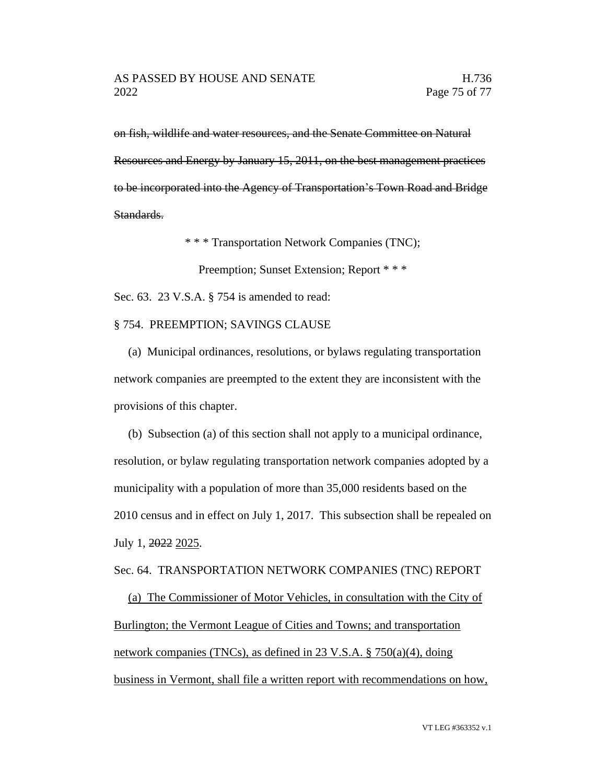on fish, wildlife and water resources, and the Senate Committee on Natural Resources and Energy by January 15, 2011, on the best management practices to be incorporated into the Agency of Transportation's Town Road and Bridge Standards.

\* \* \* Transportation Network Companies (TNC);

Preemption; Sunset Extension; Report \* \* \*

Sec. 63. 23 V.S.A. § 754 is amended to read:

§ 754. PREEMPTION; SAVINGS CLAUSE

(a) Municipal ordinances, resolutions, or bylaws regulating transportation network companies are preempted to the extent they are inconsistent with the provisions of this chapter.

(b) Subsection (a) of this section shall not apply to a municipal ordinance, resolution, or bylaw regulating transportation network companies adopted by a municipality with a population of more than 35,000 residents based on the 2010 census and in effect on July 1, 2017. This subsection shall be repealed on July 1, 2022 2025.

Sec. 64. TRANSPORTATION NETWORK COMPANIES (TNC) REPORT

(a) The Commissioner of Motor Vehicles, in consultation with the City of Burlington; the Vermont League of Cities and Towns; and transportation network companies (TNCs), as defined in 23 V.S.A. § 750(a)(4), doing business in Vermont, shall file a written report with recommendations on how,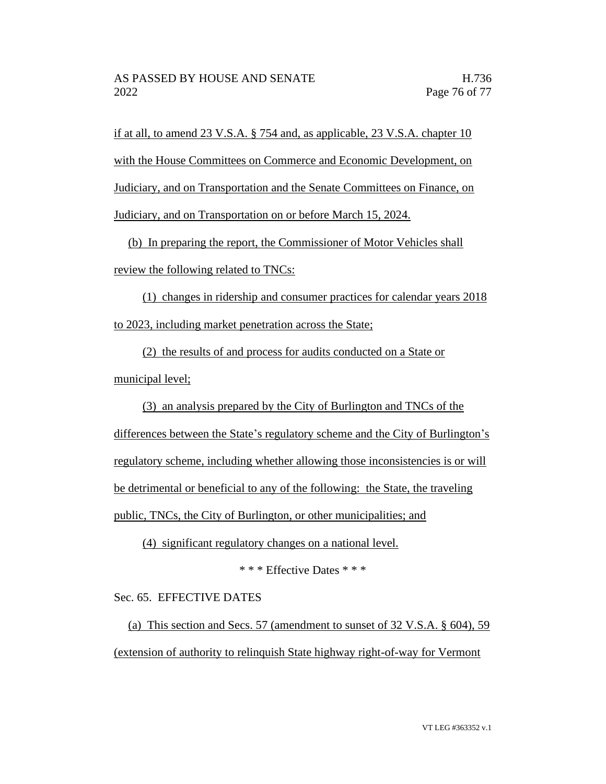if at all, to amend 23 V.S.A. § 754 and, as applicable, 23 V.S.A. chapter 10 with the House Committees on Commerce and Economic Development, on Judiciary, and on Transportation and the Senate Committees on Finance, on Judiciary, and on Transportation on or before March 15, 2024.

(b) In preparing the report, the Commissioner of Motor Vehicles shall review the following related to TNCs:

(1) changes in ridership and consumer practices for calendar years 2018 to 2023, including market penetration across the State;

(2) the results of and process for audits conducted on a State or municipal level;

(3) an analysis prepared by the City of Burlington and TNCs of the differences between the State's regulatory scheme and the City of Burlington's regulatory scheme, including whether allowing those inconsistencies is or will be detrimental or beneficial to any of the following: the State, the traveling public, TNCs, the City of Burlington, or other municipalities; and

(4) significant regulatory changes on a national level.

\* \* \* Effective Dates \* \* \*

Sec. 65. EFFECTIVE DATES

(a) This section and Secs. 57 (amendment to sunset of 32 V.S.A. § 604), 59 (extension of authority to relinquish State highway right-of-way for Vermont